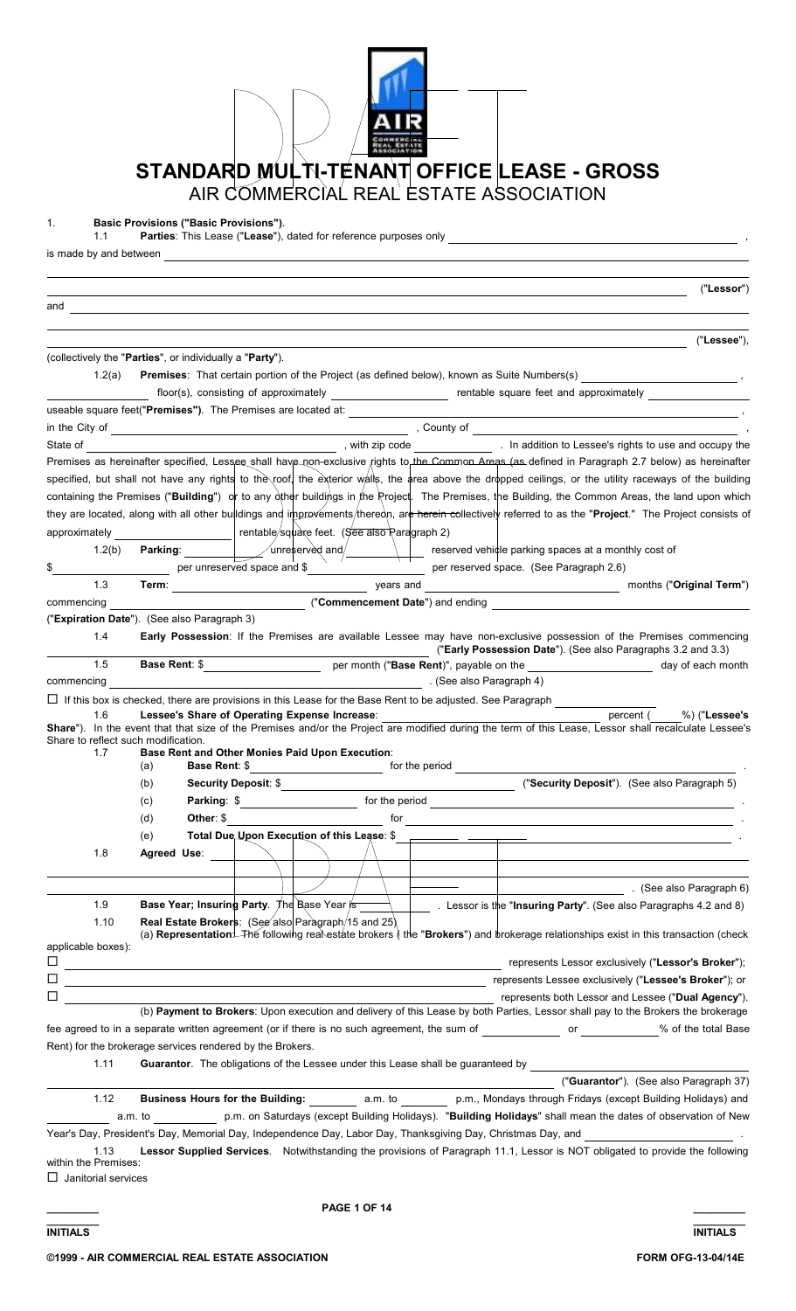| STANDARD MULTI-TENANT OFFICE LEASE - GROSS |  |
|--------------------------------------------|--|
| AIR COMMERCIAL REAL ESTATE ASSOCIATION     |  |

### 1. **Basic Provisions ("Basic Provisions")**.

1.1 **Parties**: This Lease ("**Lease**"), dated for reference purposes only ,

|                                                                                   |       |             |                                                                  |                                            |                                                         |                                                                                                                                                                                                                                      | ("Lessor")                                                                          |
|-----------------------------------------------------------------------------------|-------|-------------|------------------------------------------------------------------|--------------------------------------------|---------------------------------------------------------|--------------------------------------------------------------------------------------------------------------------------------------------------------------------------------------------------------------------------------------|-------------------------------------------------------------------------------------|
| and                                                                               |       |             |                                                                  |                                            |                                                         |                                                                                                                                                                                                                                      |                                                                                     |
|                                                                                   |       |             |                                                                  |                                            |                                                         |                                                                                                                                                                                                                                      | ("Lessee"),                                                                         |
| (collectively the "Parties", or individually a "Party").                          |       |             |                                                                  |                                            |                                                         |                                                                                                                                                                                                                                      |                                                                                     |
| 1.2(a)                                                                            |       |             |                                                                  |                                            |                                                         |                                                                                                                                                                                                                                      |                                                                                     |
|                                                                                   |       |             |                                                                  |                                            |                                                         |                                                                                                                                                                                                                                      |                                                                                     |
| useable square feet("Premises"). The Premises are located at:                     |       |             |                                                                  |                                            |                                                         |                                                                                                                                                                                                                                      |                                                                                     |
|                                                                                   |       |             |                                                                  |                                            |                                                         |                                                                                                                                                                                                                                      |                                                                                     |
| State of                                                                          |       |             |                                                                  |                                            |                                                         | Notice 2012 and the set of the set of the zip with zip code summary code to the addition to Lessee's rights to use and occupy the                                                                                                    |                                                                                     |
|                                                                                   |       |             |                                                                  |                                            |                                                         | Premises as hereinafter specified, Lessee shall have non-exclusive rights to the Common Areas (as defined in Paragraph 2.7 below) as hereinafter                                                                                     |                                                                                     |
|                                                                                   |       |             |                                                                  |                                            |                                                         | specified, but shall not have any rights to the roof the exterior walls, the area above the dropped ceilings, or the utility raceways of the building                                                                                |                                                                                     |
|                                                                                   |       |             |                                                                  |                                            |                                                         | containing the Premises ("Building") or to any other buildings in the Project. The Premises, the Building, the Common Areas, the land upon which                                                                                     |                                                                                     |
|                                                                                   |       |             |                                                                  |                                            |                                                         | they are located, along with all other buildings and improvements/thereon, are herein collectively referred to as the "Project." The Project consists of                                                                             |                                                                                     |
| approximately _____________________  rentable/square feet. (See also Paragraph 2) |       |             |                                                                  |                                            |                                                         |                                                                                                                                                                                                                                      |                                                                                     |
| 1.2(b)                                                                            |       |             |                                                                  |                                            |                                                         | Parking: unreserved and reserved vehicle parking spaces at a monthly cost of                                                                                                                                                         |                                                                                     |
|                                                                                   |       |             | per unreserved space and \$                                      |                                            |                                                         | per reserved space. (See Paragraph 2.6)                                                                                                                                                                                              |                                                                                     |
| 1.3                                                                               | Term: |             |                                                                  |                                            |                                                         | <u>vears and the contract of the set of the set of the set of the set of the set of the set of the set of the set of the set of the set of the set of the set of the set of the set of the set of the set of the set of the set </u> | months ("Original Term")                                                            |
| commencing                                                                        |       |             |                                                                  |                                            |                                                         |                                                                                                                                                                                                                                      |                                                                                     |
| ("Expiration Date"). (See also Paragraph 3)                                       |       |             |                                                                  |                                            |                                                         |                                                                                                                                                                                                                                      |                                                                                     |
| 1.4                                                                               |       |             |                                                                  |                                            |                                                         | Early Possession: If the Premises are available Lessee may have non-exclusive possession of the Premises commencing                                                                                                                  |                                                                                     |
| 1.5                                                                               |       |             |                                                                  |                                            |                                                         | ("Early Possession Date"). (See also Paragraphs 3.2 and 3.3)                                                                                                                                                                         |                                                                                     |
|                                                                                   |       |             |                                                                  |                                            |                                                         |                                                                                                                                                                                                                                      |                                                                                     |
|                                                                                   |       |             |                                                                  |                                            |                                                         |                                                                                                                                                                                                                                      |                                                                                     |
| commencing                                                                        |       |             |                                                                  |                                            | See also Paragraph 4) (See also Paragraph 4)            |                                                                                                                                                                                                                                      |                                                                                     |
| 1.6                                                                               |       |             |                                                                  |                                            |                                                         | □ If this box is checked, there are provisions in this Lease for the Base Rent to be adjusted. See Paragraph<br>percent(                                                                                                             |                                                                                     |
|                                                                                   |       |             | Lessee's Share of Operating Expense Increase:                    |                                            |                                                         | Share"). In the event that that size of the Premises and/or the Project are modified during the term of this Lease, Lessor shall recalculate Lessee's                                                                                |                                                                                     |
| Share to reflect such modification.                                               |       |             |                                                                  |                                            |                                                         |                                                                                                                                                                                                                                      |                                                                                     |
| 1.7                                                                               | (a)   |             | Base Rent and Other Monies Paid Upon Execution:<br>Base Rent: \$ |                                            |                                                         | for the period and the state of the period                                                                                                                                                                                           |                                                                                     |
|                                                                                   | (b)   |             |                                                                  |                                            | Security Deposit: \$                                    | ("Security Deposit"). (See also Paragraph 5)                                                                                                                                                                                         |                                                                                     |
|                                                                                   | (c)   |             |                                                                  |                                            |                                                         |                                                                                                                                                                                                                                      |                                                                                     |
|                                                                                   | (d)   | Other: \$   |                                                                  | for                                        |                                                         |                                                                                                                                                                                                                                      |                                                                                     |
|                                                                                   | (e)   |             |                                                                  | Total Due Upon Execution of this Lease: \$ |                                                         |                                                                                                                                                                                                                                      |                                                                                     |
| 1.8                                                                               |       | Agreed Use: |                                                                  |                                            |                                                         |                                                                                                                                                                                                                                      |                                                                                     |
|                                                                                   |       |             |                                                                  |                                            |                                                         |                                                                                                                                                                                                                                      |                                                                                     |
|                                                                                   |       |             |                                                                  |                                            |                                                         |                                                                                                                                                                                                                                      |                                                                                     |
| 1.9                                                                               |       |             | Base Year; Insuring Party. The Base Year is                      |                                            |                                                         | . Lessor is the "Insuring Party". (See also Paragraphs 4.2 and 8)                                                                                                                                                                    |                                                                                     |
| 1.10                                                                              |       |             | Real Estate Brokers: (See also Paragraph/15 and 25)              |                                            |                                                         |                                                                                                                                                                                                                                      |                                                                                     |
|                                                                                   |       |             |                                                                  |                                            |                                                         | (a) Representation. The following realestate brokers (the "Brokers") and brokerage relationships exist in this transaction (check                                                                                                    |                                                                                     |
|                                                                                   |       |             |                                                                  |                                            |                                                         |                                                                                                                                                                                                                                      |                                                                                     |
|                                                                                   |       |             |                                                                  |                                            |                                                         | represents Lessor exclusively ("Lessor's Broker");<br>represents Lessee exclusively ("Lessee's Broker"); or                                                                                                                          |                                                                                     |
|                                                                                   |       |             |                                                                  |                                            | <u> 1980 - Johann Barnett, fransk politik (d. 1980)</u> | represents both Lessor and Lessee ("Dual Agency").                                                                                                                                                                                   |                                                                                     |
|                                                                                   |       |             |                                                                  |                                            |                                                         | (b) Payment to Brokers: Upon execution and delivery of this Lease by both Parties, Lessor shall pay to the Brokers the brokerage                                                                                                     |                                                                                     |
|                                                                                   |       |             |                                                                  |                                            |                                                         | fee agreed to in a separate written agreement (or if there is no such agreement, the sum of or but or the total Base                                                                                                                 |                                                                                     |
|                                                                                   |       |             |                                                                  |                                            |                                                         |                                                                                                                                                                                                                                      |                                                                                     |
| 1.11                                                                              |       |             |                                                                  |                                            |                                                         | Guarantor. The obligations of the Lessee under this Lease shall be guaranteed by                                                                                                                                                     |                                                                                     |
| applicable boxes):<br>Rent) for the brokerage services rendered by the Brokers.   |       |             |                                                                  |                                            |                                                         |                                                                                                                                                                                                                                      | %) ("Lessee's<br>. (See also Paragraph 6)<br>("Guarantor"). (See also Paragraph 37) |
| 1.12                                                                              |       |             |                                                                  |                                            |                                                         | Business Hours for the Building: a.m. to p.m., Mondays through Fridays (except Building Holidays) and                                                                                                                                |                                                                                     |

 1.13 **Lessor Supplied Services**. Notwithstanding the provisions of Paragraph 11.1, Lessor is NOT obligated to provide the following within the Premises:

 $\Box$  Janitorial services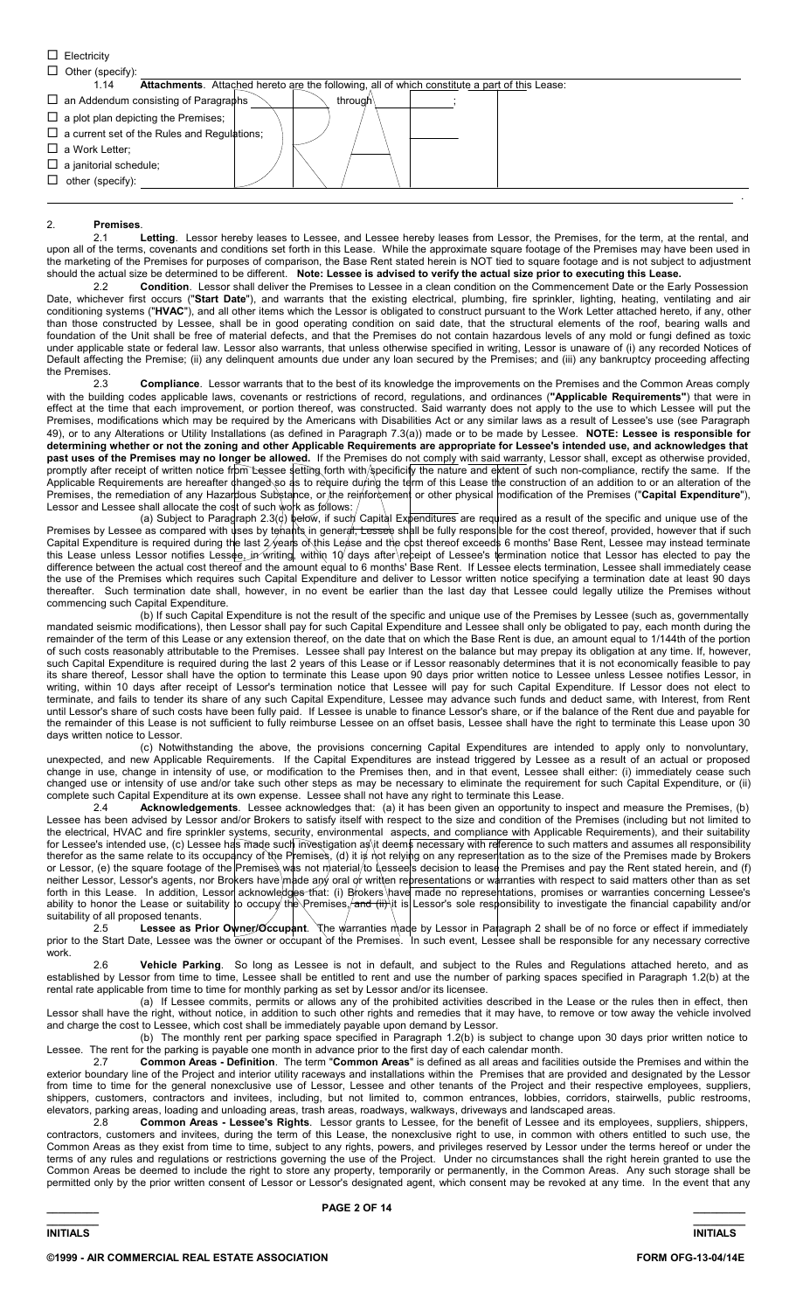| $\Box$ Electricity                                                                                    |
|-------------------------------------------------------------------------------------------------------|
| $\Box$ Other (specify):                                                                               |
| Attachments. Attached hereto are the following, all of which constitute a part of this Lease:<br>1.14 |
| $\Box$ an Addendum consisting of Paragraphs<br>through\                                               |
| $\Box$ a plot plan depicting the Premises;                                                            |
| $\Box$ a current set of the Rules and Regulations;                                                    |
| $\Box$ a Work Letter;                                                                                 |
| $\Box$ a janitorial schedule;                                                                         |
| $\Box$ other (specify):                                                                               |
|                                                                                                       |

#### 2. **Premises**.

 2.1 **Letting**. Lessor hereby leases to Lessee, and Lessee hereby leases from Lessor, the Premises, for the term, at the rental, and upon all of the terms, covenants and conditions set forth in this Lease. While the approximate square footage of the Premises may have been used in the marketing of the Premises for purposes of comparison, the Base Rent stated herein is NOT tied to square footage and is not subject to adjustment should the actual size be determined to be different. **Note: Lessee is advised to verify the actual size prior to executing this Lease.**

2.2 **Condition**. Lessor shall deliver the Premises to Lessee in a clean condition on the Commencement Date or the Early Possession Date, whichever first occurs ("**Start Date**"), and warrants that the existing electrical, plumbing, fire sprinkler, lighting, heating, ventilating and air conditioning systems ("**HVAC**"), and all other items which the Lessor is obligated to construct pursuant to the Work Letter attached hereto, if any, other than those constructed by Lessee, shall be in good operating condition on said date, that the structural elements of the roof, bearing walls and foundation of the Unit shall be free of material defects, and that the Premises do not contain hazardous levels of any mold or fungi defined as toxic under applicable state or federal law. Lessor also warrants, that unless otherwise specified in writing, Lessor is unaware of (i) any recorded Notices of Default affecting the Premise; (ii) any delinquent amounts due under any loan secured by the Premises; and (iii) any bankruptcy proceeding affecting the Premises.

 2.3 **Compliance**. Lessor warrants that to the best of its knowledge the improvements on the Premises and the Common Areas comply with the building codes applicable laws, covenants or restrictions of record, regulations, and ordinances (**"Applicable Requirements"**) that were in effect at the time that each improvement, or portion thereof, was constructed. Said warranty does not apply to the use to which Lessee will put the Premises, modifications which may be required by the Americans with Disabilities Act or any similar laws as a result of Lessee's use (see Paragraph 49), or to any Alterations or Utility Installations (as defined in Paragraph 7.3(a)) made or to be made by Lessee. **NOTE: Lessee is responsible for determining whether or not the zoning and other Applicable Requirements are appropriate for Lessee's intended use, and acknowledges that past uses of the Premises may no longer be allowed.** If the Premises do not comply with said warranty, Lessor shall, except as otherwise provided, promptly after receipt of written notice from Lessee setting forth with/specificity the nature and extent of such non-compliance, rectify the same. If the Applicable Requirements are hereafter ¢hanged so as to require du/ing the term of this Lease the construction of an addition to or an alteration of the Premises, the remediation of any Hazardous Substance, or the reinforcement or other physical modification of the Premises ("Capital Expenditure"), Lessor and Lessee shall allocate the cost of such work as follows:

 (a) Subject to Paragraph 2.3(c) below, if such Capital Expenditures are required as a result of the specific and unique use of the Premises by Lessee as compared with uses by tenants in general, Lessee shall be fully responsible for the cost thereof, provided, however that if such Capital Expenditure is required during the last 2 years of this Lease and the cost thereof exceeds 6 months' Base Rent, Lessee may instead terminate this Lease unless Lessor notifies Lessee, in writing, within 10 days after receipt of Lessee's termination notice that Lessor has elected to pay the difference between the actual cost thereof and the amount equal to 6 months' Base Rent. If Lessee elects termination, Lessee shall immediately cease the use of the Premises which requires such Capital Expenditure and deliver to Lessor written notice specifying a termination date at least 90 days thereafter. Such termination date shall, however, in no event be earlier than the last day that Lessee could legally utilize the Premises without commencing such Capital Expenditure.

 (b) If such Capital Expenditure is not the result of the specific and unique use of the Premises by Lessee (such as, governmentally mandated seismic modifications), then Lessor shall pay for such Capital Expenditure and Lessee shall only be obligated to pay, each month during the remainder of the term of this Lease or any extension thereof, on the date that on which the Base Rent is due, an amount equal to 1/144th of the portion of such costs reasonably attributable to the Premises. Lessee shall pay Interest on the balance but may prepay its obligation at any time. If, however, such Capital Expenditure is required during the last 2 years of this Lease or if Lessor reasonably determines that it is not economically feasible to pay its share thereof, Lessor shall have the option to terminate this Lease upon 90 days prior written notice to Lessee unless Lessee notifies Lessor, in writing, within 10 days after receipt of Lessor's termination notice that Lessee will pay for such Capital Expenditure. If Lessor does not elect to terminate, and fails to tender its share of any such Capital Expenditure, Lessee may advance such funds and deduct same, with Interest, from Rent until Lessor's share of such costs have been fully paid. If Lessee is unable to finance Lessor's share, or if the balance of the Rent due and payable for the remainder of this Lease is not sufficient to fully reimburse Lessee on an offset basis, Lessee shall have the right to terminate this Lease upon 30 days written notice to Lessor.

 (c) Notwithstanding the above, the provisions concerning Capital Expenditures are intended to apply only to nonvoluntary, unexpected, and new Applicable Requirements. If the Capital Expenditures are instead triggered by Lessee as a result of an actual or proposed change in use, change in intensity of use, or modification to the Premises then, and in that event, Lessee shall either: (i) immediately cease such changed use or intensity of use and/or take such other steps as may be necessary to eliminate the requirement for such Capital Expenditure, or (ii) complete such Capital Expenditure at its own expense. Lessee shall not have any right to terminate this Lease.

 2.4 **Acknowledgements**. Lessee acknowledges that: (a) it has been given an opportunity to inspect and measure the Premises, (b) Lessee has been advised by Lessor and/or Brokers to satisfy itself with respect to the size and condition of the Premises (including but not limited to the electrical, HVAC and fire sprinkler systems, security, environmental aspects, and compliance with Applicable Requirements), and their suitability for Lessee's intended use, (c) Lessee has made such investigation as\it deems necessary with reference to such matters and assumes all responsibility therefor as the same relate to its occupancy of the Premises, (d) it is not relying on any representation as to the size of the Premises made by Brokers or Lessor, (e) the square footage of the Premises was not material to Lessee's decision to lease the Premises and pay the Rent stated herein, and (f) neither Lessor, Lessor's agents, nor Brokers have made any oral or written representations or warranties with respect to said matters other than as set forth in this Lease. In addition, Lessor acknowledges that: (i) Brokers have made no representations, promises or warranties concerning Lessee's ability to honor the Lease or suitability to occupy the Premises, and (ii) it is Lessor's sole responsibility to investigate the financial capability and/or suitability of all proposed tenants.

 2.5 **Lessee as Prior Owner/Occupant**. The warranties made by Lessor in Paragraph 2 shall be of no force or effect if immediately prior to the Start Date, Lessee was the owner or occupant of the Premises. In such event, Lessee shall be responsible for any necessary corrective work.

 2.6 **Vehicle Parking**. So long as Lessee is not in default, and subject to the Rules and Regulations attached hereto, and as established by Lessor from time to time, Lessee shall be entitled to rent and use the number of parking spaces specified in Paragraph 1.2(b) at the rental rate applicable from time to time for monthly parking as set by Lessor and/or its licensee.

 (a) If Lessee commits, permits or allows any of the prohibited activities described in the Lease or the rules then in effect, then Lessor shall have the right, without notice, in addition to such other rights and remedies that it may have, to remove or tow away the vehicle involved and charge the cost to Lessee, which cost shall be immediately payable upon demand by Lessor.

 (b) The monthly rent per parking space specified in Paragraph 1.2(b) is subject to change upon 30 days prior written notice to Lessee. The rent for the parking is payable one month in advance prior to the first day of each calendar month.

 2.7 **Common Areas - Definition**. The term "**Common Areas**" is defined as all areas and facilities outside the Premises and within the exterior boundary line of the Project and interior utility raceways and installations within the Premises that are provided and designated by the Lessor from time to time for the general nonexclusive use of Lessor, Lessee and other tenants of the Project and their respective employees, suppliers, shippers, customers, contractors and invitees, including, but not limited to, common entrances, lobbies, corridors, stairwells, public restrooms, elevators, parking areas, loading and unloading areas, trash areas, roadways, walkways, driveways and landscaped areas.

 2.8 **Common Areas - Lessee's Rights**. Lessor grants to Lessee, for the benefit of Lessee and its employees, suppliers, shippers, contractors, customers and invitees, during the term of this Lease, the nonexclusive right to use, in common with others entitled to such use, the Common Areas as they exist from time to time, subject to any rights, powers, and privileges reserved by Lessor under the terms hereof or under the terms of any rules and regulations or restrictions governing the use of the Project. Under no circumstances shall the right herein granted to use the Common Areas be deemed to include the right to store any property, temporarily or permanently, in the Common Areas. Any such storage shall be permitted only by the prior written consent of Lessor or Lessor's designated agent, which consent may be revoked at any time. In the event that any

**\_\_\_\_\_\_\_\_\_ PAGE 2 OF 14 \_\_\_\_\_\_\_\_\_**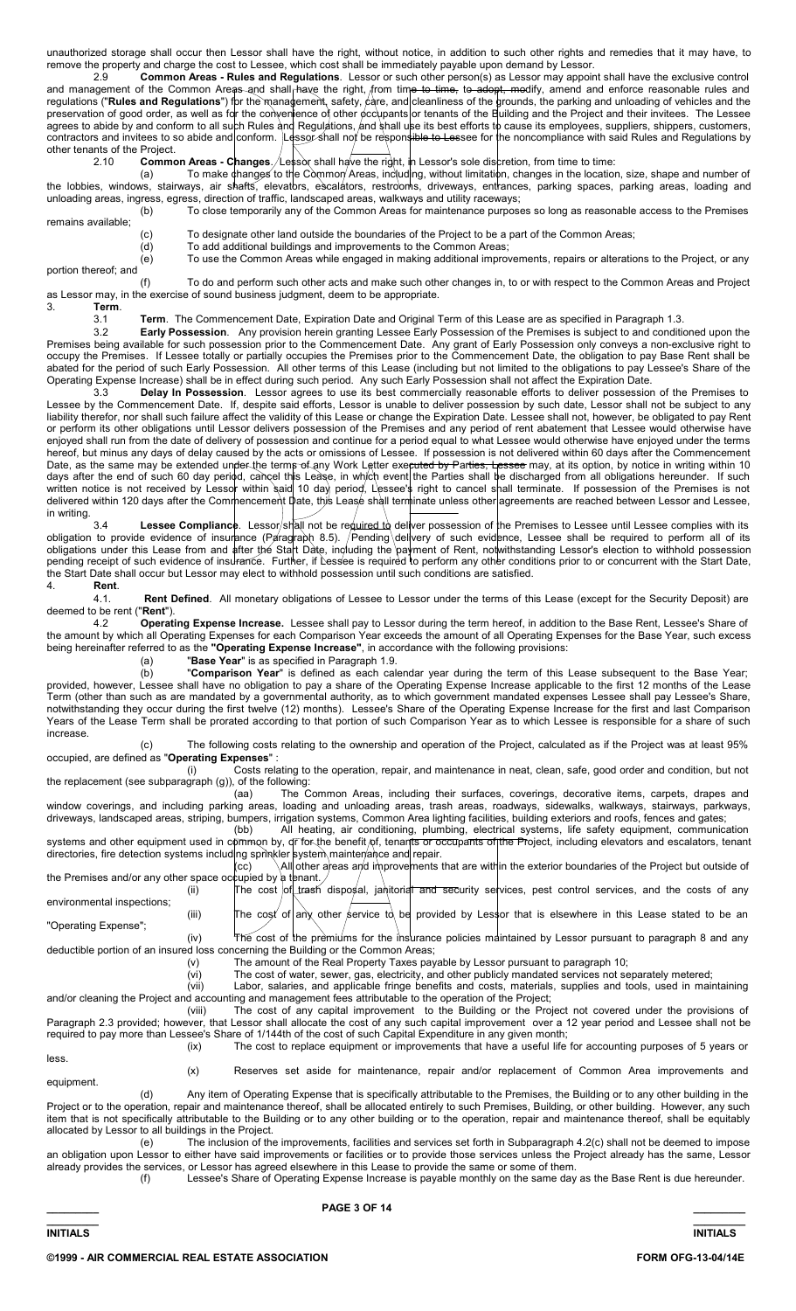unauthorized storage shall occur then Lessor shall have the right, without notice, in addition to such other rights and remedies that it may have, to remove the property and charge the cost to Lessee, which cost shall be immediately payable upon demand by Lessor.<br>Common Areas - Rules and Requisions Lessor or such other person(s) as Lessor may appoir

 2.9 **Common Areas - Rules and Regulations**. Lessor or such other person(s) as Lessor may appoint shall have the exclusive control and management of the Common Areas and shall<sub>L</sub>have the right, from time to time, to adopt, modify, amend and enforce reasonable rules and regulations ("**Rules and Regulations**") for the`ম্αanagement, safety, care, and cleanliness of the grounds, the parking and unloading of vehicles and the preservation of good order, as well as for the convenience of other øccupants or tenants of the Building and the Project and their invitees. The Lessee agrees to abide by and conform to all such Rules and Regulations, and shall use its best efforts to cause its employees, suppliers, shippers, customers, contractors and invitees to so abide and conform. Lessor shall not be responsible to Lessee for the noncompliance with said Rules and Regulations by other tenants of the Project.

2.10 **Common Areas - Changes**. Lessor shall have the right, in Lessor's sole discretion, from time to time:

(a) To make changes to the Còmmon Areas, including, without limitation, changes in the location, size, shape and number of the lobbies, windows, stairways, air shafts, elevators, escalators, restrooms, driveways, entrances, parking spaces, parking areas, loading and unloading areas, ingress, egress, direction of traffic, landscaped areas, walkways and utility raceways; (b) To close temporarily any of the Common Areas for maintenance purposes so long as reasonable access to the Premises

remains available;

(c) To designate other land outside the boundaries of the Project to be a part of the Common Areas;

(d) To add additional buildings and improvements to the Common Areas;

 (e) To use the Common Areas while engaged in making additional improvements, repairs or alterations to the Project, or any portion thereof; and

 (f) To do and perform such other acts and make such other changes in, to or with respect to the Common Areas and Project as Lessor may, in the exercise of sound business judgment, deem to be appropriate. 3. **Term**.

3.1 **Term**. The Commencement Date, Expiration Date and Original Term of this Lease are as specified in Paragraph 1.3.

Early Possession. Any provision herein granting Lessee Early Possession of the Premises is subject to and conditioned upon the Premises being available for such possession prior to the Commencement Date. Any grant of Early Possession only conveys a non-exclusive right to occupy the Premises. If Lessee totally or partially occupies the Premises prior to the Commencement Date, the obligation to pay Base Rent shall be abated for the period of such Early Possession. All other terms of this Lease (including but not limited to the obligations to pay Lessee's Share of the Operating Expense Increase) shall be in effect during such period. Any such Early Possession shall not affect the Expiration Date.

 3.3 **Delay In Possession**. Lessor agrees to use its best commercially reasonable efforts to deliver possession of the Premises to Lessee by the Commencement Date. If, despite said efforts, Lessor is unable to deliver possession by such date, Lessor shall not be subject to any liability therefor, nor shall such failure affect the validity of this Lease or change the Expiration Date. Lessee shall not, however, be obligated to pay Rent or perform its other obligations until Lessor delivers possession of the Premises and any period of rent abatement that Lessee would otherwise have enjoyed shall run from the date of delivery of possession and continue for a period equal to what Lessee would otherwise have enjoyed under the terms hereof, but minus any days of delay caused by the acts or omissions of Lessee. If possession is not delivered within 60 days after the Commencement Date, as the same may be extended under the terms of any Work Letter executed by Parties, Lessee may, at its option, by notice in writing within 10 days after the end of such 60 day period, cancel this Lease, in which event the Parties shall be discharged from all obligations hereunder. If such written notice is not received by Lessor within said 10 day period, Lessee's right to cancel shall terminate. If possession of the Premises is not delivered within 120 days after the Commencement Date, this Lease shall terminate unless other agreements are reached between Lessor and Lessee, in writing.

Lessee Compliance. Lessor/shall not be required to deliver possession of the Premises to Lessee until Lessee complies with its obligation to provide evidence of insurance (Paragraph 8.5). Pending delivery of such evidence, Lessee shall be required to perform all of its obligations under this Lease from and after the Start Date, including the payment of Rent, notwithstanding Lessor's election to withhold possession pending receipt of such evidence of insurance. Further, if Lessee is required to perform any other conditions prior to or concurrent with the Start Date, the Start Date shall occur but Lessor may elect to withhold possession until such conditions are satisfied. 4. **Rent**.

 4.1. **Rent Defined**. All monetary obligations of Lessee to Lessor under the terms of this Lease (except for the Security Deposit) are deemed to be rent ("**Rent**").

 4.2 **Operating Expense Increase.** Lessee shall pay to Lessor during the term hereof, in addition to the Base Rent, Lessee's Share of the amount by which all Operating Expenses for each Comparison Year exceeds the amount of all Operating Expenses for the Base Year, such excess being hereinafter referred to as the **"Operating Expense Increase"**, in accordance with the following provisions:

(a) "**Base Year**" is as specified in Paragraph 1.9.

 (b) "**Comparison Year**" is defined as each calendar year during the term of this Lease subsequent to the Base Year; provided, however, Lessee shall have no obligation to pay a share of the Operating Expense Increase applicable to the first 12 months of the Lease Term (other than such as are mandated by a governmental authority, as to which government mandated expenses Lessee shall pay Lessee's Share, notwithstanding they occur during the first twelve (12) months). Lessee's Share of the Operating Expense Increase for the first and last Comparison Years of the Lease Term shall be prorated according to that portion of such Comparison Year as to which Lessee is responsible for a share of such increase.

 (c) The following costs relating to the ownership and operation of the Project, calculated as if the Project was at least 95% occupied, are defined as "**Operating Expenses**" :

 (i) Costs relating to the operation, repair, and maintenance in neat, clean, safe, good order and condition, but not the replacement (see subparagraph (g)), of the following:

 (aa) The Common Areas, including their surfaces, coverings, decorative items, carpets, drapes and window coverings, and including parking areas, loading and unloading areas, trash areas, roadways, sidewalks, walkways, stairways, parkways, driveways, landscaped areas, striping, bumpers, irrigation systems, Common Area lighting facilities, building exteriors and roofs, fences and gates;

 (bb) All heating, air conditioning, plumbing, electrical systems, life safety equipment, communication systems and other equipment used in common by, or for the benefit of, tenants or occupants of the Project, including elevators and escalators, tenant directories, fire detection systems including sprinkler system mainten ance and repair.

(cc) All other areas and improvements that are within the exterior boundaries of the Project but outside of cupied by a tenant.

the Premises and/or any other space occupied by a tenant.  $\frac{1}{2}$  (ii) The cost  $\frac{1}{2}$  trash dispoted by (ii) The cost of trash disposal, janitorial and security services, pest control services, and the costs of any environmental inspections;

(iii) The cost of any other service to be provided by Lessor that is elsewhere in this Lease stated to be an "Operating Expense";

(iv) The cost of the premiums for the insurance policies maintained by Lessor pursuant to paragraph 8 and any deductible portion of an insured loss concerning the Building or the Common Areas;

(v) The amount of the Real Property Taxes payable by Lessor pursuant to paragraph 10;

(vi) The cost of water, sewer, gas, electricity, and other publicly mandated services not separately metered;

 (vii) Labor, salaries, and applicable fringe benefits and costs, materials, supplies and tools, used in maintaining and/or cleaning the Project and accounting and management fees attributable to the operation of the Project;

 (viii) The cost of any capital improvement to the Building or the Project not covered under the provisions of Paragraph 2.3 provided; however, that Lessor shall allocate the cost of any such capital improvement over a 12 year period and Lessee shall not be required to pay more than Lessee's Share of 1/144th of the cost of such Capital Expenditure in any given month;

| I<br>I<br>M.<br>۰.<br>×<br>۰. | I<br>×<br>۰. |  |
|-------------------------------|--------------|--|
|                               |              |  |

(ix) The cost to replace equipment or improvements that have a useful life for accounting purposes of 5 years or

(x) Reserves set aside for maintenance, repair and/or replacement of Common Area improvements and

equipment. (d) Any item of Operating Expense that is specifically attributable to the Premises, the Building or to any other building in the Project or to the operation, repair and maintenance thereof, shall be allocated entirely to such Premises, Building, or other building. However, any such item that is not specifically attributable to the Building or to any other building or to the operation, repair and maintenance thereof, shall be equitably allocated by Lessor to all buildings in the Project.

 (e) The inclusion of the improvements, facilities and services set forth in Subparagraph 4.2(c) shall not be deemed to impose an obligation upon Lessor to either have said improvements or facilities or to provide those services unless the Project already has the same, Lessor already provides the services, or Lessor has agreed elsewhere in this Lease to provide the same or some of them.

(f) Lessee's Share of Operating Expense Increase is payable monthly on the same day as the Base Rent is due hereunder.

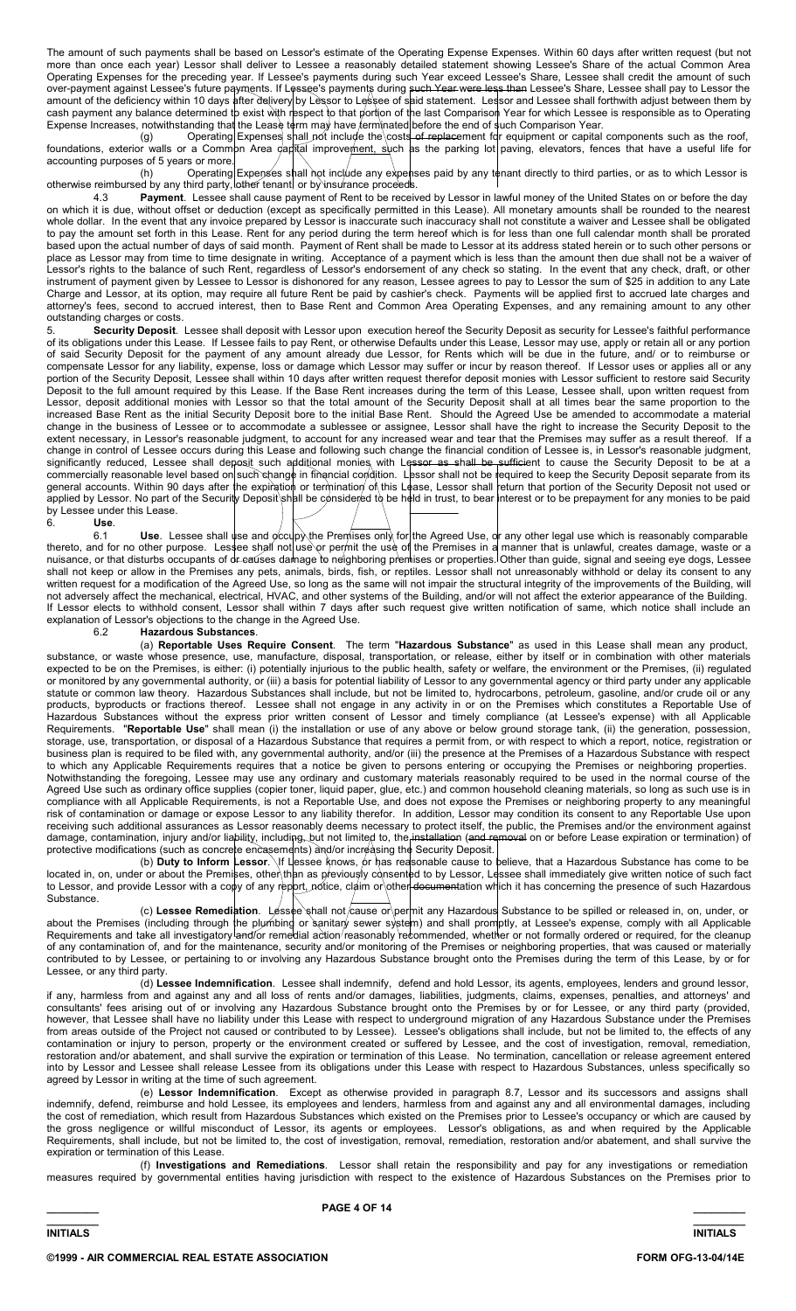The amount of such payments shall be based on Lessor's estimate of the Operating Expense Expenses. Within 60 days after written request (but not more than once each year) Lessor shall deliver to Lessee a reasonably detailed statement showing Lessee's Share of the actual Common Area Operating Expenses for the preceding year. If Lessee's payments during such Year exceed Lessee's Share, Lessee shall credit the amount of such over-payment against Lessee's future payments. If Lessee's payments during such Year were less than Lessee's Share, Lessee shall pay to Lessor the amount of the deficiency within 10 days after delivery by Lessor to Lessee of said statement. Lessor and Lessee shall forthwith adjust between them by cash payment any balance determined to exist with respect to that portion of the last Comparison Year for which Lessee is responsible as to Operating Expense Increases, notwithstanding that the Lease term may have terminated before the end of such Comparison Year.

(g) Operating Expenses shall not include the costs of replacement for equipment or capital components such as the roof, foundations, exterior walls or a Common Area dapttal improve<u>ment, su</u>ch as the parking lot paving, elevators, fences that have a useful life for accounting purposes of 5 years or more.

 (h) Operating Expenses shall not include any expenses paid by any tenant directly to third parties, or as to which Lessor is otherwise reimbursed by any third party, dther tenant, or by insurance proceeds.

 4.3 **Payment**. Lessee shall cause payment of Rent to be received by Lessor in lawful money of the United States on or before the day on which it is due, without offset or deduction (except as specifically permitted in this Lease). All monetary amounts shall be rounded to the nearest whole dollar. In the event that any invoice prepared by Lessor is inaccurate such inaccuracy shall not constitute a waiver and Lessee shall be obligated to pay the amount set forth in this Lease. Rent for any period during the term hereof which is for less than one full calendar month shall be prorated based upon the actual number of days of said month. Payment of Rent shall be made to Lessor at its address stated herein or to such other persons or place as Lessor may from time to time designate in writing. Acceptance of a payment which is less than the amount then due shall not be a waiver of Lessor's rights to the balance of such Rent, regardless of Lessor's endorsement of any check so stating. In the event that any check, draft, or other instrument of payment given by Lessee to Lessor is dishonored for any reason, Lessee agrees to pay to Lessor the sum of \$25 in addition to any Late Charge and Lessor, at its option, may require all future Rent be paid by cashier's check. Payments will be applied first to accrued late charges and attorney's fees, second to accrued interest, then to Base Rent and Common Area Operating Expenses, and any remaining amount to any other outstanding charges or costs.

5. **Security Deposit**. Lessee shall deposit with Lessor upon execution hereof the Security Deposit as security for Lessee's faithful performance of its obligations under this Lease. If Lessee fails to pay Rent, or otherwise Defaults under this Lease, Lessor may use, apply or retain all or any portion of said Security Deposit for the payment of any amount already due Lessor, for Rents which will be due in the future, and/ or to reimburse or compensate Lessor for any liability, expense, loss or damage which Lessor may suffer or incur by reason thereof. If Lessor uses or applies all or any portion of the Security Deposit, Lessee shall within 10 days after written request therefor deposit monies with Lessor sufficient to restore said Security Deposit to the full amount required by this Lease. If the Base Rent increases during the term of this Lease, Lessee shall, upon written request from Lessor, deposit additional monies with Lessor so that the total amount of the Security Deposit shall at all times bear the same proportion to the increased Base Rent as the initial Security Deposit bore to the initial Base Rent. Should the Agreed Use be amended to accommodate a material change in the business of Lessee or to accommodate a sublessee or assignee, Lessor shall have the right to increase the Security Deposit to the extent necessary, in Lessor's reasonable judgment, to account for any increased wear and tear that the Premises may suffer as a result thereof. If a change in control of Lessee occurs during this Lease and following such change the financial condition of Lessee is, in Lessor's reasonable judgment, significantly reduced, Lessee shall deposit such additional monies with Lessor as shall be sufficient to cause the Security Deposit to be at a commercially reasonable level based on such change in financial condition. Lessor shall not be required to keep the Security Deposit separate from its general accounts. Within 90 days after the expiration or termination of this Lease, Lessor shall return that portion of the Security Deposit not used or applied by Lessor. No part of the Security Deposit\shall be considered to be held in trust, to bear interest or to be prepayment for any monies to be paid by Lessee under this Lease.<br>6. **Use** 6. **Use**.

 6.1 **Use**. Lessee shall use and occupy the Premises only for the Agreed Use, or any other legal use which is reasonably comparable thereto, and for no other purpose. Lessee shall not use or permit the use of the Premises in a manner that is unlawful, creates damage, waste or a nuisance, or that disturbs occupants of dreaúses damage to neighboring premises or properties. Other than guide, signal and seeing eye dogs, Lessee shall not keep or allow in the Premises any pets, animals, birds, fish, or reptiles. Lessor shall not unreasonably withhold or delay its consent to any written request for a modification of the Agreed Use, so long as the same will not impair the structural integrity of the improvements of the Building, will not adversely affect the mechanical, electrical, HVAC, and other systems of the Building, and/or will not affect the exterior appearance of the Building. If Lessor elects to withhold consent, Lessor shall within 7 days after such request give written notification of same, which notice shall include an explanation of Lessor's objections to the change in the Agreed Use.

#### 6.2 **Hazardous Substances**.

 (a) **Reportable Uses Require Consent**. The term "**Hazardous Substance**" as used in this Lease shall mean any product, substance, or waste whose presence, use, manufacture, disposal, transportation, or release, either by itself or in combination with other materials expected to be on the Premises, is either: (i) potentially injurious to the public health, safety or welfare, the environment or the Premises, (ii) regulated or monitored by any governmental authority, or (iii) a basis for potential liability of Lessor to any governmental agency or third party under any applicable statute or common law theory. Hazardous Substances shall include, but not be limited to, hydrocarbons, petroleum, gasoline, and/or crude oil or any products, byproducts or fractions thereof. Lessee shall not engage in any activity in or on the Premises which constitutes a Reportable Use of Hazardous Substances without the express prior written consent of Lessor and timely compliance (at Lessee's expense) with all Applicable Requirements. "**Reportable Use**" shall mean (i) the installation or use of any above or below ground storage tank, (ii) the generation, possession, storage, use, transportation, or disposal of a Hazardous Substance that requires a permit from, or with respect to which a report, notice, registration or business plan is required to be filed with, any governmental authority, and/or (iii) the presence at the Premises of a Hazardous Substance with respect to which any Applicable Requirements requires that a notice be given to persons entering or occupying the Premises or neighboring properties. Notwithstanding the foregoing, Lessee may use any ordinary and customary materials reasonably required to be used in the normal course of the Agreed Use such as ordinary office supplies (copier toner, liquid paper, glue, etc.) and common household cleaning materials, so long as such use is in compliance with all Applicable Requirements, is not a Reportable Use, and does not expose the Premises or neighboring property to any meaningful risk of contamination or damage or expose Lessor to any liability therefor. In addition, Lessor may condition its consent to any Reportable Use upon receiving such additional assurances as Lessor reasonably deems necessary to protect itself, the public, the Premises and/or the environment against damage, contamination, injury and/or liability, includi<del>ng, b</del>ut not limited to, the<sub>r</sub>installation (and removal on or before Lease expiration or termination) of protective modifications (such as concrete encasements) and/or increasing the Security Deposit.

 (b) **Duty to Inform Lessor**. If Lessee knows, or has reasonable cause to believe, that a Hazardous Substance has come to be located in, on, under or about the Premises, other∖than as previously consented to by Lessor, Lessee shall immediately give written notice of such fact to Lessor, and provide Lessor with a copy of any report, notice, claim or∖other<del>|document</del>ation which it has concerning the presence of such Hazardous Substance.

 (c) **Lessee Remediation**. Lessee shall not cause or permit any Hazardous Substance to be spilled or released in, on, under, or about the Premises (including through the plumbing or sanitary sewer system) and shall promptly, at Lessee's expense, comply with all Applicable Requirements and take all investigatory and/or remedial action/reasonably recommended, whether or not formally ordered or required, for the cleanup of any contamination of, and for the maintenance, security and/or monitoring of the Premises or neighboring properties, that was caused or materially contributed to by Lessee, or pertaining to or involving any Hazardous Substance brought onto the Premises during the term of this Lease, by or for Lessee, or any third party.

 (d) **Lessee Indemnification**. Lessee shall indemnify, defend and hold Lessor, its agents, employees, lenders and ground lessor, if any, harmless from and against any and all loss of rents and/or damages, liabilities, judgments, claims, expenses, penalties, and attorneys' and consultants' fees arising out of or involving any Hazardous Substance brought onto the Premises by or for Lessee, or any third party (provided, however, that Lessee shall have no liability under this Lease with respect to underground migration of any Hazardous Substance under the Premises from areas outside of the Project not caused or contributed to by Lessee). Lessee's obligations shall include, but not be limited to, the effects of any contamination or injury to person, property or the environment created or suffered by Lessee, and the cost of investigation, removal, remediation, restoration and/or abatement, and shall survive the expiration or termination of this Lease. No termination, cancellation or release agreement entered into by Lessor and Lessee shall release Lessee from its obligations under this Lease with respect to Hazardous Substances, unless specifically so agreed by Lessor in writing at the time of such agreement.

 (e) **Lessor Indemnification**. Except as otherwise provided in paragraph 8.7, Lessor and its successors and assigns shall indemnify, defend, reimburse and hold Lessee, its employees and lenders, harmless from and against any and all environmental damages, including the cost of remediation, which result from Hazardous Substances which existed on the Premises prior to Lessee's occupancy or which are caused by the gross negligence or willful misconduct of Lessor, its agents or employees. Lessor's obligations, as and when required by the Applicable Requirements, shall include, but not be limited to, the cost of investigation, removal, remediation, restoration and/or abatement, and shall survive the expiration or termination of this Lease.

 (f) **Investigations and Remediations**. Lessor shall retain the responsibility and pay for any investigations or remediation measures required by governmental entities having jurisdiction with respect to the existence of Hazardous Substances on the Premises prior to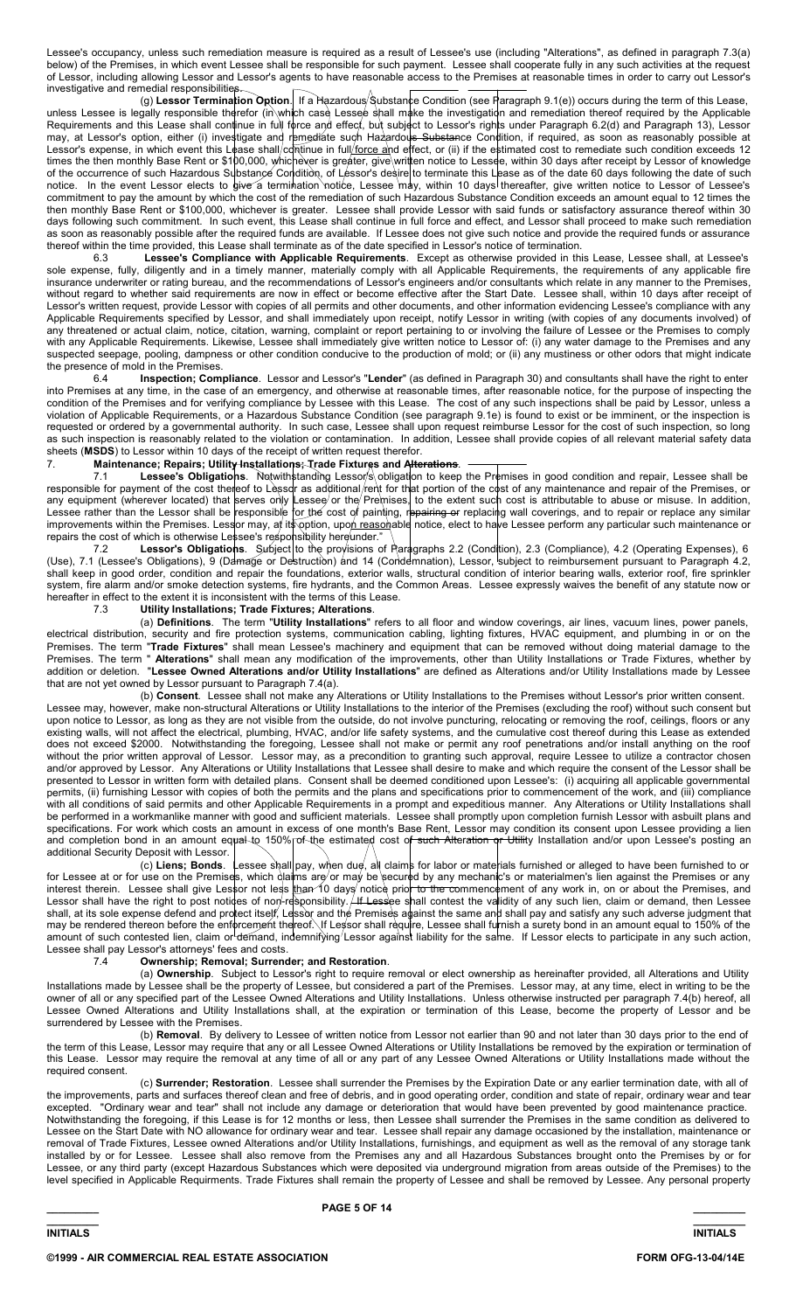Lessee's occupancy, unless such remediation measure is required as a result of Lessee's use (including "Alterations", as defined in paragraph 7.3(a) below) of the Premises, in which event Lessee shall be responsible for such payment. Lessee shall cooperate fully in any such activities at the request of Lessor, including allowing Lessor and Lessor's agents to have reasonable access to the Premises at reasonable times in order to carry out Lessor's investigative and remedial responsibilities investigative and remedial responsibilities.

(g) Lessor Termination Option. If a Hazardous/Substance Condition (see Paragraph 9.1(e)) occurs during the term of this Lease, unless Lessee is legally responsible therefor (in which case Lessee shall make the investigation and remediation thereof required by the Applicable Requirements and this Lease shall continue in full force and effect, but subject to Lessor's rights under Paragraph 6.2(d) and Paragraph 13), Lessor may, at Lessor's option, either (i) investigate and remediáte such Hazardous Substance Condition, if required, as soon as reasonably possible at Lessor's expense, in which event this Lease shall/continue in full/force and effect, or (ii) if the estimated cost to remediate such condition exceeds 12 times the then monthly Base Rent or \$100,000, whichever is greater, give\written notice to Lessee, within 30 days after receipt by Lessor of knowledge of the occurrence of such Hazardous Substance Condition, of Lessor's desire to terminate this Lease as of the date 60 days following the date of such notice. In the event Lessor elects to give a termination notice, Lessee may, within 10 days thereafter, give written notice to Lessor of Lessee's commitment to pay the amount by which the cost of the remediation of such Hazardous Substance Condition exceeds an amount equal to 12 times the then monthly Base Rent or \$100,000, whichever is greater. Lessee shall provide Lessor with said funds or satisfactory assurance thereof within 30 days following such commitment. In such event, this Lease shall continue in full force and effect, and Lessor shall proceed to make such remediation as soon as reasonably possible after the required funds are available. If Lessee does not give such notice and provide the required funds or assurance thereof within the time provided, this Lease shall terminate as of the date specified in Lessor's notice of termination.<br>6.3 Lessee's Compliance with Applicable Requirements. Except as otherwise provided in th

 6.3 **Lessee's Compliance with Applicable Requirements**. Except as otherwise provided in this Lease, Lessee shall, at Lessee's sole expense, fully, diligently and in a timely manner, materially comply with all Applicable Requirements, the requirements of any applicable fire insurance underwriter or rating bureau, and the recommendations of Lessor's engineers and/or consultants which relate in any manner to the Premises, without regard to whether said requirements are now in effect or become effective after the Start Date. Lessee shall, within 10 days after receipt of Lessor's written request, provide Lessor with copies of all permits and other documents, and other information evidencing Lessee's compliance with any Applicable Requirements specified by Lessor, and shall immediately upon receipt, notify Lessor in writing (with copies of any documents involved) of any threatened or actual claim, notice, citation, warning, complaint or report pertaining to or involving the failure of Lessee or the Premises to comply with any Applicable Requirements. Likewise, Lessee shall immediately give written notice to Lessor of: (i) any water damage to the Premises and any suspected seepage, pooling, dampness or other condition conducive to the production of mold; or (ii) any mustiness or other odors that might indicate the presence of mold in the Premises.

 6.4 **Inspection; Compliance**. Lessor and Lessor's "**Lender**" (as defined in Paragraph 30) and consultants shall have the right to enter into Premises at any time, in the case of an emergency, and otherwise at reasonable times, after reasonable notice, for the purpose of inspecting the condition of the Premises and for verifying compliance by Lessee with this Lease. The cost of any such inspections shall be paid by Lessor, unless a violation of Applicable Requirements, or a Hazardous Substance Condition (see paragraph 9.1e) is found to exist or be imminent, or the inspection is requested or ordered by a governmental authority. In such case, Lessee shall upon request reimburse Lessor for the cost of such inspection, so long as such inspection is reasonably related to the violation or contamination. In addition, Lessee shall provide copies of all relevant material safety data sheets (**MSDS**) to Lessor within 10 days of the receipt of written request therefor.

#### 7. **Maintenance; Repairs; Utility Installations; Trade Fixtures and Alterations**.

7.1 **Lessee's Obligations**. Notwithstanding Lessor/s obligation to keep the Premises in good condition and repair, Lessee shall be responsible for payment of the cost thereof to Lèssor as additional/rent for that portion of the cost of any maintenance and repair of the Premises, or any equipment (wherever located) that serves only Lessee/ or the Premises, to the extent such cost is attributable to abuse or misuse. In addition, Lessee rather than the Lessor shall be responsible for the cost of painting, repai<del>ring o</del>r replacing wall coverings, and to repair or replace any similar improvements within the Premises. Lessor may, at it§option, upo<u>ń reason</u>able notice, elect to have Lessee perform any particular such maintenance or repairs the cost of which is otherwise Lessee's responsibility hereunder."

7.2 **Lessor's Obligations**. Subject to the provisions of Paragraphs 2.2 (Condition), 2.3 (Compliance), 4.2 (Operating Expenses), 6 (Use), 7.1 (Lessee's Obligations), 9 (Damage or Destruction) and 14 (Condemnation), Lessor, subject to reimbursement pursuant to Paragraph 4.2, shall keep in good order, condition and repair the foundations, exterior walls, structural condition of interior bearing walls, exterior roof, fire sprinkler system, fire alarm and/or smoke detection systems, fire hydrants, and the Common Areas. Lessee expressly waives the benefit of any statute now or hereafter in effect to the extent it is inconsistent with the terms of this Lease.

# 7.3 **Utility Installations; Trade Fixtures; Alterations**.

 (a) **Definitions**. The term "**Utility Installations**" refers to all floor and window coverings, air lines, vacuum lines, power panels, electrical distribution, security and fire protection systems, communication cabling, lighting fixtures, HVAC equipment, and plumbing in or on the Premises. The term "**Trade Fixtures**" shall mean Lessee's machinery and equipment that can be removed without doing material damage to the Premises. The term " **Alterations**" shall mean any modification of the improvements, other than Utility Installations or Trade Fixtures, whether by addition or deletion. "**Lessee Owned Alterations and/or Utility Installations**" are defined as Alterations and/or Utility Installations made by Lessee that are not yet owned by Lessor pursuant to Paragraph 7.4(a).

 (b) **Consent**. Lessee shall not make any Alterations or Utility Installations to the Premises without Lessor's prior written consent. Lessee may, however, make non-structural Alterations or Utility Installations to the interior of the Premises (excluding the roof) without such consent but upon notice to Lessor, as long as they are not visible from the outside, do not involve puncturing, relocating or removing the roof, ceilings, floors or any existing walls, will not affect the electrical, plumbing, HVAC, and/or life safety systems, and the cumulative cost thereof during this Lease as extended does not exceed \$2000. Notwithstanding the foregoing, Lessee shall not make or permit any roof penetrations and/or install anything on the roof without the prior written approval of Lessor. Lessor may, as a precondition to granting such approval, require Lessee to utilize a contractor chosen and/or approved by Lessor. Any Alterations or Utility Installations that Lessee shall desire to make and which require the consent of the Lessor shall be presented to Lessor in written form with detailed plans. Consent shall be deemed conditioned upon Lessee's: (i) acquiring all applicable governmental permits, (ii) furnishing Lessor with copies of both the permits and the plans and specifications prior to commencement of the work, and (iii) compliance with all conditions of said permits and other Applicable Requirements in a prompt and expeditious manner. Any Alterations or Utility Installations shall be performed in a workmanlike manner with good and sufficient materials. Lessee shall promptly upon completion furnish Lessor with asbuilt plans and specifications. For work which costs an amount in excess of one month's Base Rent, Lessor may condition its consent upon Lessee providing a lien and completion bond in an amount equal-to 150% of the estimated cost of such Alteration or Utility Installation and/or upon Lessee's posting an additional Security Deposit with Lessor.

 (c) **Liens; Bonds**. Lessee shall pay, when due, all claims for labor or materials furnished or alleged to have been furnished to or for Lessee at or for use on the Premises, which dlaims are/or may be secured by any mechanic's or materialmen's lien against the Premises or any interest therein. Lessee shall give Lessor not less than 10 days notice prior to the commencement of any work in, on or about the Premises, and Lessor shall have the right to post notices of non-responsibility. Ht Lessee shall contest the validity of any such lien, claim or demand, then Lessee shall, at its sole expense defend and protect itself, Lessor and the Premises against the same and shall pay and satisfy any such adverse judgment that may be rendered thereon before the enforcement thereof. If Lessor shall require, Lessee shall furnish a surety bond in an amount equal to 150% of the amount of such contested lien, claim or demand, indemnifying Lessor against liability for the same. If Lessor elects to participate in any such action, Lessee shall pay Lessor's attorneys' fees and costs.

## 7.4 **Ownership; Removal; Surrender; and Restoration**.

 (a) **Ownership**. Subject to Lessor's right to require removal or elect ownership as hereinafter provided, all Alterations and Utility Installations made by Lessee shall be the property of Lessee, but considered a part of the Premises. Lessor may, at any time, elect in writing to be the owner of all or any specified part of the Lessee Owned Alterations and Utility Installations. Unless otherwise instructed per paragraph 7.4(b) hereof, all Lessee Owned Alterations and Utility Installations shall, at the expiration or termination of this Lease, become the property of Lessor and be surrendered by Lessee with the Premises.

 (b) **Removal**. By delivery to Lessee of written notice from Lessor not earlier than 90 and not later than 30 days prior to the end of the term of this Lease, Lessor may require that any or all Lessee Owned Alterations or Utility Installations be removed by the expiration or termination of this Lease. Lessor may require the removal at any time of all or any part of any Lessee Owned Alterations or Utility Installations made without the required consent.

 (c) **Surrender; Restoration**. Lessee shall surrender the Premises by the Expiration Date or any earlier termination date, with all of the improvements, parts and surfaces thereof clean and free of debris, and in good operating order, condition and state of repair, ordinary wear and tear excepted. "Ordinary wear and tear" shall not include any damage or deterioration that would have been prevented by good maintenance practice. Notwithstanding the foregoing, if this Lease is for 12 months or less, then Lessee shall surrender the Premises in the same condition as delivered to Lessee on the Start Date with NO allowance for ordinary wear and tear. Lessee shall repair any damage occasioned by the installation, maintenance or removal of Trade Fixtures, Lessee owned Alterations and/or Utility Installations, furnishings, and equipment as well as the removal of any storage tank installed by or for Lessee. Lessee shall also remove from the Premises any and all Hazardous Substances brought onto the Premises by or for Lessee, or any third party (except Hazardous Substances which were deposited via underground migration from areas outside of the Premises) to the level specified in Applicable Requirments. Trade Fixtures shall remain the property of Lessee and shall be removed by Lessee. Any personal property

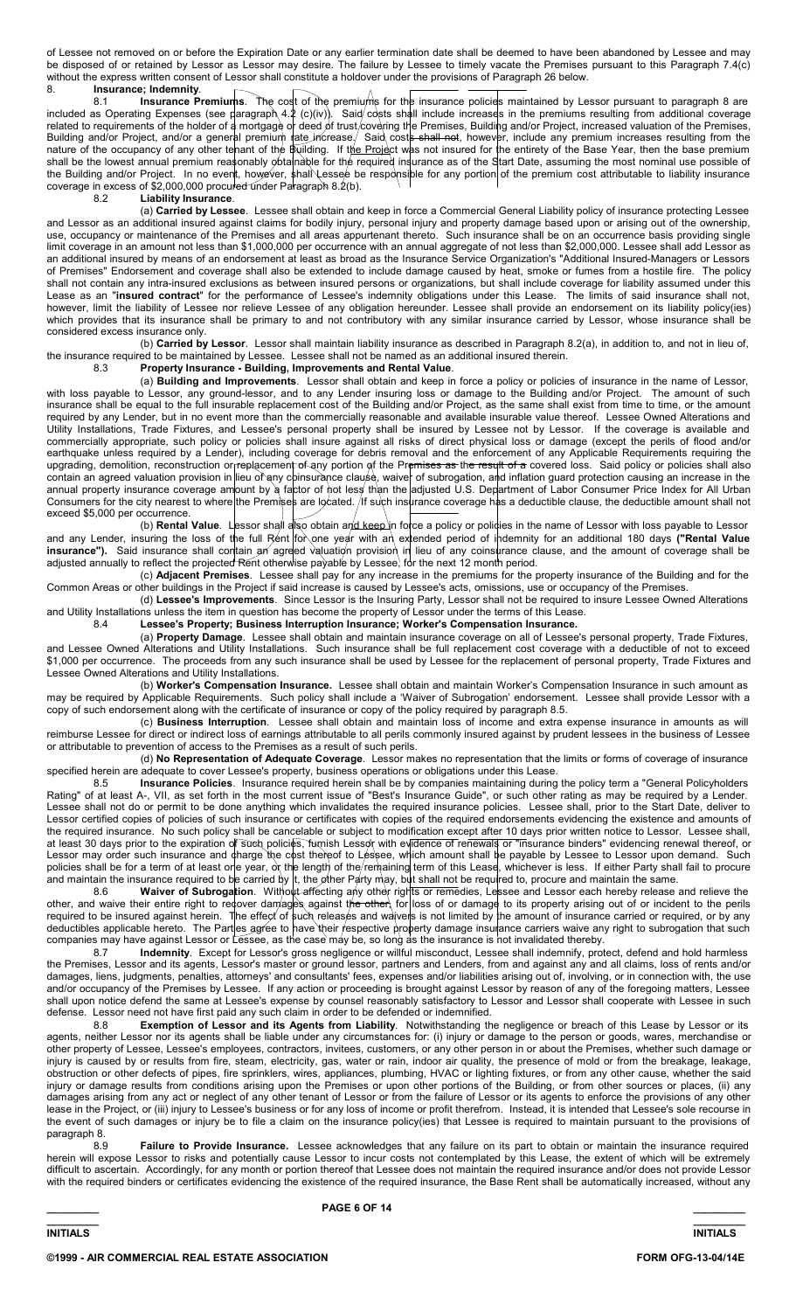of Lessee not removed on or before the Expiration Date or any earlier termination date shall be deemed to have been abandoned by Lessee and may be disposed of or retained by Lessor as Lessor may desire. The failure by Lessee to timely vacate the Premises pursuant to this Paragraph 7.4(c) without the express written consent of Lessor shall constitute a holdover under the provisions of Paragraph 26 below. 8. **Insurance; Indemnity**.

#### 8.1 **Insurance Premiums**. The cost of the premiums for the insurance policies maintained by Lessor pursuant to paragraph 8 are included as Operating Expenses (see paragraph 4.2 (c)(iv)). Said/costs shall include increases in the premiums resulting from additional coverage related to requirements of the holder of a mortgage or deed of trust/covering the Premises, Building and/or Project, increased valuation of the Premises, Building and/or Project, and/or a general premium rate increase./ Said cost<del>s shall not</del>, however, include any premium increases resulting from the nature of the occupancy of any other tenant of the Building. If the Project was not insured for the entirety of the Base Year, then the base premium shall be the lowest annual premium reasonably obtainable for the required insurance as of the Start Date, assuming the most nominal use possible of the Building and/or Project. In no event, however, shall Lessee be responsible for any portion of the premium cost attributable to liability insurance coverage in excess of \$2,000,000 procured under Paragraph 8.2(b).

#### 8.2 **Liability Insurance**.

 (a) **Carried by Lessee**. Lessee shall obtain and keep in force a Commercial General Liability policy of insurance protecting Lessee and Lessor as an additional insured against claims for bodily injury, personal injury and property damage based upon or arising out of the ownership, use, occupancy or maintenance of the Premises and all areas appurtenant thereto. Such insurance shall be on an occurrence basis providing single limit coverage in an amount not less than \$1,000,000 per occurrence with an annual aggregate of not less than \$2,000,000. Lessee shall add Lessor as an additional insured by means of an endorsement at least as broad as the Insurance Service Organization's "Additional Insured-Managers or Lessors of Premises" Endorsement and coverage shall also be extended to include damage caused by heat, smoke or fumes from a hostile fire. The policy shall not contain any intra-insured exclusions as between insured persons or organizations, but shall include coverage for liability assumed under this Lease as an "**insured contract**" for the performance of Lessee's indemnity obligations under this Lease. The limits of said insurance shall not, however, limit the liability of Lessee nor relieve Lessee of any obligation hereunder. Lessee shall provide an endorsement on its liability policy(ies) which provides that its insurance shall be primary to and not contributory with any similar insurance carried by Lessor, whose insurance shall be considered excess insurance only.

 (b) **Carried by Lessor**. Lessor shall maintain liability insurance as described in Paragraph 8.2(a), in addition to, and not in lieu of, the insurance required to be maintained by Lessee. Lessee shall not be named as an additional insured therein.

# 8.3 **Property Insurance - Building, Improvements and Rental Value**.

 (a) **Building and Improvements**. Lessor shall obtain and keep in force a policy or policies of insurance in the name of Lessor, with loss payable to Lessor, any ground-lessor, and to any Lender insuring loss or damage to the Building and/or Project. The amount of such insurance shall be equal to the full insurable replacement cost of the Building and/or Project, as the same shall exist from time to time, or the amount required by any Lender, but in no event more than the commercially reasonable and available insurable value thereof. Lessee Owned Alterations and Utility Installations, Trade Fixtures, and Lessee's personal property shall be insured by Lessee not by Lessor. If the coverage is available and commercially appropriate, such policy or policies shall insure against all risks of direct physical loss or damage (except the perils of flood and/or earthquake unless required by a Lender), including coverage for debris removal and the enforcement of any Applicable Requirements requiring the upgrading, demolition, reconstruction or replacement of any portion of the Premises as the result of a covered loss. Said policy or policies shall also contain an agreed valuation provision in lieu of any cbinsurance clause, waiver of subrogation, and inflation guard protection causing an increase in the annual property insurance coverage amount by a factor of not less than the adjusted U.S. Department of Labor Consumer Price Index for All Urban Consumers for the city nearest to where the Premises are located. /If such insurance coverage has a deductible clause, the deductible amount shall not exceed \$5,000 per occurrence.

 (b) **Rental Value**. Lessor shall also obtain and keep in force a policy or policies in the name of Lessor with loss payable to Lessor and any Lender, insuring the loss of the full Rent for one year with an extended period of indemnity for an additional 180 days **("Rental Value insurance").** Said insurance shall contain an agreed valuation provision in lieu of any coinsurance clause, and the amount of coverage shall be adjusted annually to reflect the projected Rent otherwise payable by Lessee, for the next 12 month period.

 (c) **Adjacent Premises**. Lessee shall pay for any increase in the premiums for the property insurance of the Building and for the Common Areas or other buildings in the Project if said increase is caused by Lessee's acts, omissions, use or occupancy of the Premises.

 (d) **Lessee's Improvements**. Since Lessor is the Insuring Party, Lessor shall not be required to insure Lessee Owned Alterations and Utility Installations unless the item in question has become the property of Lessor under the terms of this Lease.

# 8.4 **Lessee's Property; Business Interruption Insurance; Worker's Compensation Insurance.**

 (a) **Property Damage**. Lessee shall obtain and maintain insurance coverage on all of Lessee's personal property, Trade Fixtures, and Lessee Owned Alterations and Utility Installations. Such insurance shall be full replacement cost coverage with a deductible of not to exceed \$1,000 per occurrence. The proceeds from any such insurance shall be used by Lessee for the replacement of personal property, Trade Fixtures and Lessee Owned Alterations and Utility Installations.

 (b) **Worker's Compensation Insurance.** Lessee shall obtain and maintain Worker's Compensation Insurance in such amount as may be required by Applicable Requirements. Such policy shall include a 'Waiver of Subrogation' endorsement. Lessee shall provide Lessor with a copy of such endorsement along with the certificate of insurance or copy of the policy required by paragraph 8.5.

 (c) **Business Interruption**. Lessee shall obtain and maintain loss of income and extra expense insurance in amounts as will reimburse Lessee for direct or indirect loss of earnings attributable to all perils commonly insured against by prudent lessees in the business of Lessee or attributable to prevention of access to the Premises as a result of such perils.

 (d) **No Representation of Adequate Coverage**. Lessor makes no representation that the limits or forms of coverage of insurance specified herein are adequate to cover Lessee's property, business operations or obligations under this Lease.<br>8.5 **Insurance Policies**. Insurance required herein shall be by companies maintaining during

 8.5 **Insurance Policies**. Insurance required herein shall be by companies maintaining during the policy term a "General Policyholders Rating" of at least A-, VII, as set forth in the most current issue of "Best's Insurance Guide", or such other rating as may be required by a Lender. Lessee shall not do or permit to be done anything which invalidates the required insurance policies. Lessee shall, prior to the Start Date, deliver to Lessor certified copies of policies of such insurance or certificates with copies of the required endorsements evidencing the existence and amounts of the required insurance. No such policy shall be cancelable or subject t the required insurance. No such policy shall be cancelable or subject to modification except after 10 days prior written notice to Lessor. Lessee shall, at least 30 days prior to the expiration of such policies, furnish Lessor with evidence of renewals or "insurance binders" evidencing renewal thereof, or Lessor may order such insurance and charge the cost thereof to Lessee, which amount shall be payable by Lessee to Lessor upon demand. Such policies shall be for a term of at least one year, or the length of the/remaining term of this Lease, whichever is less. If either Party shall fail to procure and maintain the insurance required to be carried by it, the other Party may, but shall not be required to, procure and maintain the same.

8.6 **Waiver of Subrogation**. Without affecting any other rights or remedies, Lessee and Lessor each hereby release and relieve the other, and waive their entire right to recover damages against the other, for loss of or damage to its property arising out of or incident to the perils required to be insured against herein. The effect of such releases and waivers is not limited by the amount of insurance carried or required, or by any deductibles applicable hereto. The Parties agree to have their respective property damage insurance carriers waive any right to subrogation that such companies may have against Lessor or Lessee, as the case may be, so long as the insurance is not invalidated thereby.

 8.7 **Indemnity**. Except for Lessor's gross negligence or willful misconduct, Lessee shall indemnify, protect, defend and hold harmless the Premises, Lessor and its agents, Lessor's master or ground lessor, partners and Lenders, from and against any and all claims, loss of rents and/or damages, liens, judgments, penalties, attorneys' and consultants' fees, expenses and/or liabilities arising out of, involving, or in connection with, the use and/or occupancy of the Premises by Lessee. If any action or proceeding is brought against Lessor by reason of any of the foregoing matters, Lessee shall upon notice defend the same at Lessee's expense by counsel reasonably satisfactory to Lessor and Lessor shall cooperate with Lessee in such defense. Lessor need not have first paid any such claim in order to be defended or indemnified.

 8.8 **Exemption of Lessor and its Agents from Liability**. Notwithstanding the negligence or breach of this Lease by Lessor or its agents, neither Lessor nor its agents shall be liable under any circumstances for: (i) injury or damage to the person or goods, wares, merchandise or other property of Lessee, Lessee's employees, contractors, invitees, customers, or any other person in or about the Premises, whether such damage or injury is caused by or results from fire, steam, electricity, gas, water or rain, indoor air quality, the presence of mold or from the breakage, leakage, obstruction or other defects of pipes, fire sprinklers, wires, appliances, plumbing, HVAC or lighting fixtures, or from any other cause, whether the said injury or damage results from conditions arising upon the Premises or upon other portions of the Building, or from other sources or places, (ii) any damages arising from any act or neglect of any other tenant of Lessor or from the failure of Lessor or its agents to enforce the provisions of any other lease in the Project, or (iii) injury to Lessee's business or for any loss of income or profit therefrom. Instead, it is intended that Lessee's sole recourse in the event of such damages or injury be to file a claim on the insurance policy(ies) that Lessee is required to maintain pursuant to the provisions of paragraph 8.

Failure to Provide Insurance. Lessee acknowledges that any failure on its part to obtain or maintain the insurance required herein will expose Lessor to risks and potentially cause Lessor to incur costs not contemplated by this Lease, the extent of which will be extremely difficult to ascertain. Accordingly, for any month or portion thereof that Lessee does not maintain the required insurance and/or does not provide Lessor with the required binders or certificates evidencing the existence of the required insurance, the Base Rent shall be automatically increased, without any

**\_\_\_\_\_\_\_\_\_ \_\_\_\_\_\_\_\_\_ INITIALS INITIALS**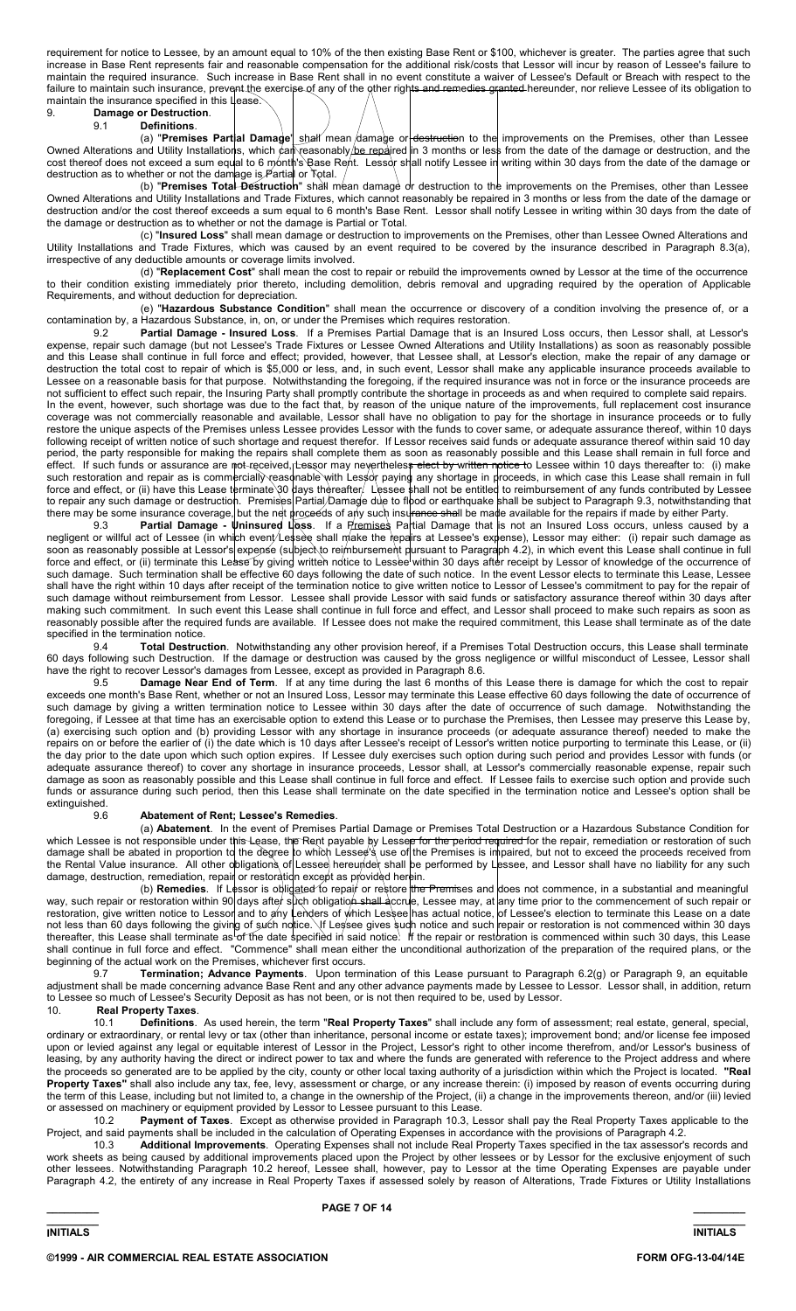requirement for notice to Lessee, by an amount equal to 10% of the then existing Base Rent or \$100, whichever is greater. The parties agree that such increase in Base Rent represents fair and reasonable compensation for the additional risk/costs that Lessor will incur by reason of Lessee's failure to maintain the required insurance. Such increase in Base Rent shall in no event constitute a waiver of Lessee's Default or Breach with respect to the failure to maintain such insurance, prevent the exercise of any of the other rights and remedies granted hereunder, nor relieve Lessee of its obligation to maintain the insurance specified in this  $\downarrow$ ease.

# 9. **Damage or Destruction**.

 9.1 **Definitions**. (a) "**Premises Partial Damage**" shall mean damage or destruction to the improvements on the Premises, other than Lessee Owned Alterations and Utility Installations, which  $\epsilon$ an reasonably/be repaired in 3 months or less from the date of the damage or destruction, and the cost thereof does not exceed a sum equal to 6 mónth's`Base Rent. Lessor shall notify Lessee in writing within 30 days from the date of the damage or destruction as to whether or not the damage is Partial or Total.

 (b) "**Premises Total Destruction**" shall mean damage or destruction to the improvements on the Premises, other than Lessee Owned Alterations and Utility Installations and Trade Fixtures, which cannot reasonably be repaired in 3 months or less from the date of the damage or destruction and/or the cost thereof exceeds a sum equal to 6 month's Base Rent. Lessor shall notify Lessee in writing within 30 days from the date of the damage or destruction as to whether or not the damage is Partial or Total.

 (c) "**Insured Loss**" shall mean damage or destruction to improvements on the Premises, other than Lessee Owned Alterations and Utility Installations and Trade Fixtures, which was caused by an event required to be covered by the insurance described in Paragraph 8.3(a), irrespective of any deductible amounts or coverage limits involved.

 (d) "**Replacement Cost**" shall mean the cost to repair or rebuild the improvements owned by Lessor at the time of the occurrence to their condition existing immediately prior thereto, including demolition, debris removal and upgrading required by the operation of Applicable Requirements, and without deduction for depreciation.

 (e) "**Hazardous Substance Condition**" shall mean the occurrence or discovery of a condition involving the presence of, or a contamination by, a Hazardous Substance, in, on, or under the Premises which requires restoration.

 9.2 **Partial Damage - Insured Loss**. If a Premises Partial Damage that is an Insured Loss occurs, then Lessor shall, at Lessor's expense, repair such damage (but not Lessee's Trade Fixtures or Lessee Owned Alterations and Utility Installations) as soon as reasonably possible and this Lease shall continue in full force and effect; provided, however, that Lessee shall, at Lessor's election, make the repair of any damage or destruction the total cost to repair of which is \$5,000 or less, and, in such event, Lessor shall make any applicable insurance proceeds available to Lessee on a reasonable basis for that purpose. Notwithstanding the foregoing, if the required insurance was not in force or the insurance proceeds are not sufficient to effect such repair, the Insuring Party shall promptly contribute the shortage in proceeds as and when required to complete said repairs. In the event, however, such shortage was due to the fact that, by reason of the unique nature of the improvements, full replacement cost insurance coverage was not commercially reasonable and available, Lessor shall have no obligation to pay for the shortage in insurance proceeds or to fully restore the unique aspects of the Premises unless Lessee provides Lessor with the funds to cover same, or adequate assurance thereof, within 10 days following receipt of written notice of such shortage and request therefor. If Lessor receives said funds or adequate assurance thereof within said 10 day period, the party responsible for making the repairs shall complete them as soon as reasonably possible and this Lease shall remain in full force and effect. If such funds or assurance are mot-received, Lessor may nevertheless elect by written notice to Lessee within 10 days thereafter to: (i) make such restoration and repair as is commercially reasonable with Lessor paying any shortage in proceeds, in which case this Lease shall remain in full force and effect, or (ii) have this Lease terminate 30 days thereafter/ Lessee shall not be entitled to reimbursement of any funds contributed by Lessee to repair any such damage or destructioh. Premises Partial/Damage due to flood or earthquake shall be subject to Paragraph 9.3, notwithstanding that there may be some insurance coverage,| but the net proceéds of any such insurance shall be made available for the repairs if made by either Party.

 9.3 **Partial Damage - Uninsured Loss**. If a Premises Partial Damage that is not an Insured Loss occurs, unless caused by a negligent or willful act of Lessee (in which event/Lessèe shall make the repairs at Lessee's expense), Lessor may either: (i) repair such damage as soon as reasonably possible at Lessor's expense (subject to reimbursement pursuant to Paragraph 4.2), in which event this Lease shall continue in full force and effect, or (ii) terminate this Le<del>ase</del> by giving written notice to Lessee within 30 days after receipt by Lessor of knowledge of the occurrence of such damage. Such termination shall be effective 60 days following the date of such notice. In the event Lessor elects to terminate this Lease, Lessee shall have the right within 10 days after receipt of the termination notice to give written notice to Lessor of Lessee's commitment to pay for the repair of such damage without reimbursement from Lessor. Lessee shall provide Lessor with said funds or satisfactory assurance thereof within 30 days after making such commitment. In such event this Lease shall continue in full force and effect, and Lessor shall proceed to make such repairs as soon as reasonably possible after the required funds are available. If Lessee does not make the required commitment, this Lease shall terminate as of the date specified in the termination notice.

 9.4 **Total Destruction**. Notwithstanding any other provision hereof, if a Premises Total Destruction occurs, this Lease shall terminate 60 days following such Destruction. If the damage or destruction was caused by the gross negligence or willful misconduct of Lessee, Lessor shall have the right to recover Lessor's damages from Lessee, except as provided in Paragraph 8.6.

 9.5 **Damage Near End of Term**. If at any time during the last 6 months of this Lease there is damage for which the cost to repair exceeds one month's Base Rent, whether or not an Insured Loss, Lessor may terminate this Lease effective 60 days following the date of occurrence of such damage by giving a written termination notice to Lessee within 30 days after the date of occurrence of such damage. Notwithstanding the foregoing, if Lessee at that time has an exercisable option to extend this Lease or to purchase the Premises, then Lessee may preserve this Lease by, (a) exercising such option and (b) providing Lessor with any shortage in insurance proceeds (or adequate assurance thereof) needed to make the repairs on or before the earlier of (i) the date which is 10 days after Lessee's receipt of Lessor's written notice purporting to terminate this Lease, or (ii) the day prior to the date upon which such option expires. If Lessee duly exercises such option during such period and provides Lessor with funds (or adequate assurance thereof) to cover any shortage in insurance proceeds, Lessor shall, at Lessor's commercially reasonable expense, repair such damage as soon as reasonably possible and this Lease shall continue in full force and effect. If Lessee fails to exercise such option and provide such funds or assurance during such period, then this Lease shall terminate on the date specified in the termination notice and Lessee's option shall be extinguished.

### 9.6 **Abatement of Rent; Lessee's Remedies**.

 (a) **Abatement**. In the event of Premises Partial Damage or Premises Total Destruction or a Hazardous Substance Condition for which Lessee is not responsible under this Lease, the Rent payable by Lessee for the period required for the repair, remediation or restoration of such damage shall be abated in proportion to the dègree to which Lessee's use of the Premises is impaired, but not to exceed the proceeds received from the Rental Value insurance. All other obligations of Lessee hereunder shall be performed by Lessee, and Lessor shall have no liability for any such damage, destruction, remediation, repair or restoration except as provided herein.

 (b) **Remedies**. If Lessor is obligated to repair or restore the Premises and does not commence, in a substantial and meaningful way, such repair or restoration within 90 days after such obligation shall accrue, Lessee may, at any time prior to the commencement of such repair or restoration, give written notice to Lessor and to any Lenders of which Lessee has actual notice, of Lessee's election to terminate this Lease on a date not less than 60 days following the giving of such notice. If Lessee gives such notice and such repair or restoration is not commenced within 30 days thereafter, this Lease shall terminate as<sup>i</sup>of the date specifièd in said notice. If the repair or restoration is commenced within such 30 days, this Lease shall continue in full force and effect. "Commence" shall mean either the unconditional authorization of the preparation of the required plans, or the beginning of the actual work on the Premises, whichever first occurs.<br>9.7 **Termination: Advance Payments**. Upon term

 9.7 **Termination; Advance Payments**. Upon termination of this Lease pursuant to Paragraph 6.2(g) or Paragraph 9, an equitable adjustment shall be made concerning advance Base Rent and any other advance payments made by Lessee to Lessor. Lessor shall, in addition, return to Lessee so much of Lessee's Security Deposit as has not been, or is not then required to be, used by Lessor.

10. **Real Property Taxes**. 10.1 **Definitions**. As used herein, the term "**Real Property Taxes**" shall include any form of assessment; real estate, general, special, ordinary or extraordinary, or rental levy or tax (other than inheritance, personal income or estate taxes); improvement bond; and/or license fee imposed upon or levied against any legal or equitable interest of Lessor in the Project, Lessor's right to other income therefrom, and/or Lessor's business of leasing, by any authority having the direct or indirect power to tax and where the funds are generated with reference to the Project address and where the proceeds so generated are to be applied by the city, county or other local taxing authority of a jurisdiction within which the Project is located. **"Real** Property Taxes" shall also include any tax, fee, levy, assessment or charge, or any increase therein: (i) imposed by reason of events occurring during the term of this Lease, including but not limited to, a change in the ownership of the Project, (ii) a change in the improvements thereon, and/or (iii) levied or assessed on machinery or equipment provided by Lessor to Lessee pursuant to this Lease.

 10.2 **Payment of Taxes**. Except as otherwise provided in Paragraph 10.3, Lessor shall pay the Real Property Taxes applicable to the Project, and said payments shall be included in the calculation of Operating Expenses in accordance with the provisions of Paragraph 4.2.

 10.3 **Additional Improvements**. Operating Expenses shall not include Real Property Taxes specified in the tax assessor's records and work sheets as being caused by additional improvements placed upon the Project by other lessees or by Lessor for the exclusive enjoyment of such other lessees. Notwithstanding Paragraph 10.2 hereof, Lessee shall, however, pay to Lessor at the time Operating Expenses are payable under Paragraph 4.2, the entirety of any increase in Real Property Taxes if assessed solely by reason of Alterations, Trade Fixtures or Utility Installations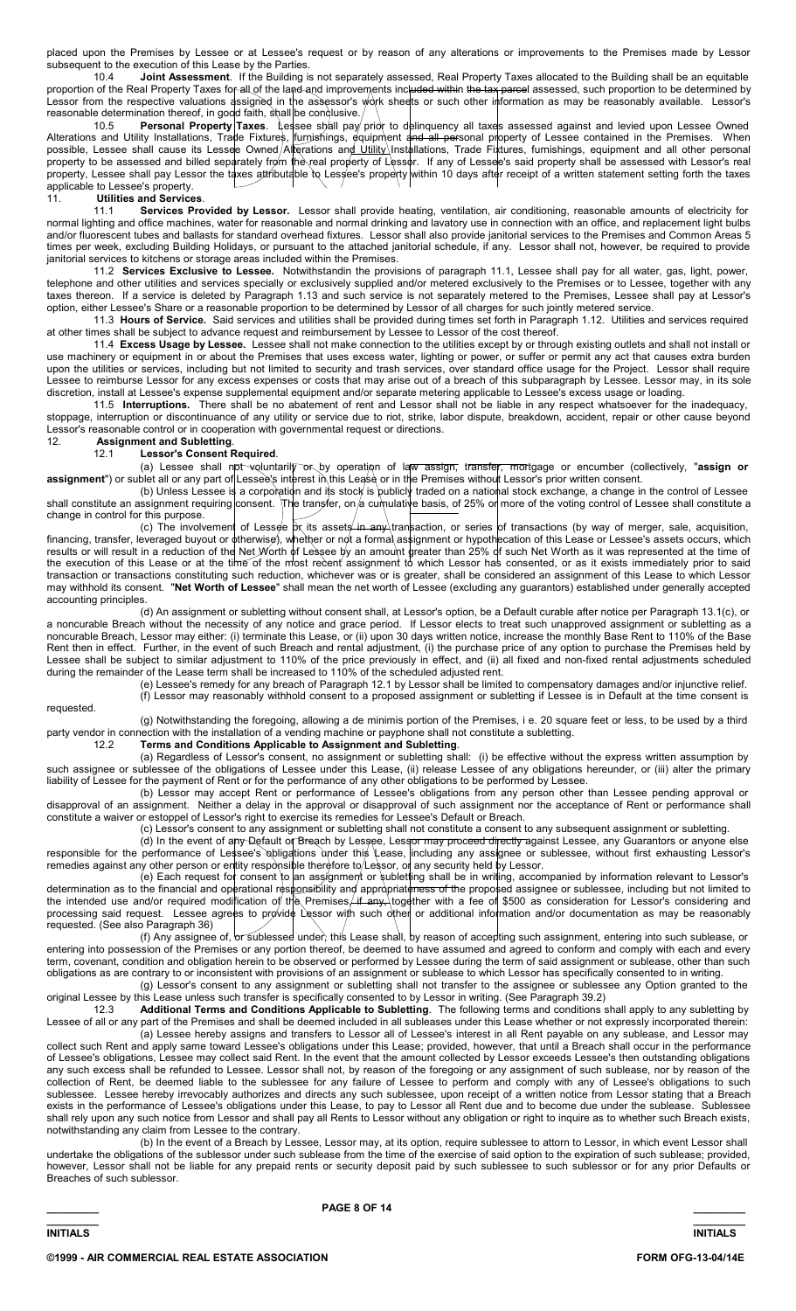placed upon the Premises by Lessee or at Lessee's request or by reason of any alterations or improvements to the Premises made by Lessor subsequent to the execution of this Lease by the Parties.<br>10.4 **Joint Assessment** If the Building is

Joint Assessment. If the Building is not separately assessed, Real Property Taxes allocated to the Building shall be an equitable proportion of the Real Property Taxes fo<del>r a</del>ll of the land-and improvements inc<del>|uded withi</del>n the tax parcel assessed, such proportion to be determined by Lessor from the respective valuations assigned in the assessor's work sheets or such other information as may be reasonably available. Lessor's reasonable determination thereof, in godd faith, shall be condlusive.

10.5 **Personal Property Taxes**. Lessee shall pay prior to delinquency all taxes assessed against and levied upon Lessee Owned Alterations and Utility Installations, Trade Fixtures, furnishings, equipment and all personal property of Lessee contained in the Premises. When possible, Lessee shall cause its Lessee Owned/Alterations and Utility\Installations, Trade Fixtures, furnishings, equipment and all other personal property to be assessed and billed separately frøm the real property of Lessor. If any of Lessee's said property shall be assessed with Lessor's real property, Lessee shall pay Lessor the taxes attributable to Lessee's property within 10 days after receipt of a written statement setting forth the taxes applicable to Lessee's property.

### 11. **Utilities and Services**.

 11.1 **Services Provided by Lessor.** Lessor shall provide heating, ventilation, air conditioning, reasonable amounts of electricity for normal lighting and office machines, water for reasonable and normal drinking and lavatory use in connection with an office, and replacement light bulbs and/or fluorescent tubes and ballasts for standard overhead fixtures. Lessor shall also provide janitorial services to the Premises and Common Areas 5 times per week, excluding Building Holidays, or pursuant to the attached janitorial schedule, if any. Lessor shall not, however, be required to provide janitorial services to kitchens or storage areas included within the Premises.

 11.2 **Services Exclusive to Lessee.** Notwithstandin the provisions of paragraph 11.1, Lessee shall pay for all water, gas, light, power, telephone and other utilities and services specially or exclusively supplied and/or metered exclusively to the Premises or to Lessee, together with any taxes thereon. If a service is deleted by Paragraph 1.13 and such service is not separately metered to the Premises, Lessee shall pay at Lessor's option, either Lessee's Share or a reasonable proportion to be determined by Lessor of all charges for such jointly metered service.

 11.3 **Hours of Service.** Said services and utilities shall be provided during times set forth in Paragraph 1.12. Utilities and services required at other times shall be subject to advance request and reimbursement by Lessee to Lessor of the cost thereof.

 11.4 **Excess Usage by Lessee.** Lessee shall not make connection to the utilities except by or through existing outlets and shall not install or use machinery or equipment in or about the Premises that uses excess water, lighting or power, or suffer or permit any act that causes extra burden upon the utilities or services, including but not limited to security and trash services, over standard office usage for the Project. Lessor shall require Lessee to reimburse Lessor for any excess expenses or costs that may arise out of a breach of this subparagraph by Lessee. Lessor may, in its sole discretion, install at Lessee's expense supplemental equipment and/or separate metering applicable to Lessee's excess usage or loading.

 11.5 **Interruptions.** There shall be no abatement of rent and Lessor shall not be liable in any respect whatsoever for the inadequacy, stoppage, interruption or discontinuance of any utility or service due to riot, strike, labor dispute, breakdown, accident, repair or other cause beyond Lessor's reasonable control or in cooperation with governmental request or directions. 12. **Assignment and Subletting**.

# 12.1 **Lessor's Consent Required**.

 (a) Lessee shall not voluntarily or by operation of law assign, transfer, mortgage or encumber (collectively, "**assign or assignment**") or sublet all or any part of Lessee's interest in this Lease or in the Premises without Lessor's prior written consent.

 (b) Unless Lessee is a corporation and its stock is publicly traded on a national stock exchange, a change in the control of Lessee shall constitute an assignment requiring∣consent. ∖The transfer, on a cumulative basis, of 25% or more of the voting control of Lessee shall constitute a change in control for this purpose.

(c) The involvement of Lessee (α) its assets in any transaction, or series of transactions (by way of merger, sale, acquisition, financing, transfer, leveraged buyout or otherwise), whether or not a formal assignment or hypothecation of this Lease or Lessee's assets occurs, which results or will result in a reduction of the Net Worth of Lessee by an amount greater than 25% of such Net Worth as it was represented at the time of the execution of this Lease or at the time of the most recent assignment to which Lessor has consented, or as it exists immediately prior to said transaction or transactions constituting such reduction, whichever was or is greater, shall be considered an assignment of this Lease to which Lessor may withhold its consent. "**Net Worth of Lessee**" shall mean the net worth of Lessee (excluding any guarantors) established under generally accepted accounting principles.

 (d) An assignment or subletting without consent shall, at Lessor's option, be a Default curable after notice per Paragraph 13.1(c), or a noncurable Breach without the necessity of any notice and grace period. If Lessor elects to treat such unapproved assignment or subletting as a noncurable Breach, Lessor may either: (i) terminate this Lease, or (ii) upon 30 days written notice, increase the monthly Base Rent to 110% of the Base Rent then in effect. Further, in the event of such Breach and rental adjustment, (i) the purchase price of any option to purchase the Premises held by Lessee shall be subject to similar adjustment to 110% of the price previously in effect, and (ii) all fixed and non-fixed rental adjustments scheduled during the remainder of the Lease term shall be increased to 110% of the scheduled adjusted rent.

 (e) Lessee's remedy for any breach of Paragraph 12.1 by Lessor shall be limited to compensatory damages and/or injunctive relief. (f) Lessor may reasonably withhold consent to a proposed assignment or subletting if Lessee is in Default at the time consent is requested.

 (g) Notwithstanding the foregoing, allowing a de minimis portion of the Premises, i e. 20 square feet or less, to be used by a third party vendor in connection with the installation of a vending machine or payphone shall not constitute a subletting.

12.2 **Terms and Conditions Applicable to Assignment and Subletting**.

 (a) Regardless of Lessor's consent, no assignment or subletting shall: (i) be effective without the express written assumption by such assignee or sublessee of the obligations of Lessee under this Lease, (ii) release Lessee of any obligations hereunder, or (iii) alter the primary liability of Lessee for the payment of Rent or for the performance of any other obligations to be performed by Lessee.

 (b) Lessor may accept Rent or performance of Lessee's obligations from any person other than Lessee pending approval or disapproval of an assignment. Neither a delay in the approval or disapproval of such assignment nor the acceptance of Rent or performance shall constitute a waiver or estoppel of Lessor's right to exercise its remedies for Lessee's Default or Breach.

(c) Lessor's consent to any assignment or subletting shall not constitute a consent to any subsequent assignment or subletting.

 (d) In the event of any Default or Breach by Lessee, Lessor may proceed directly against Lessee, any Guarantors or anyone else responsible for the performance of Lessee's obligations under this Lease, including any assignee or sublessee, without first exhausting Lessor's remedies against any other person or entity responsible therefore to/Lessor, or any security held by Lessor.

 (e) Each request for consent to an assignment or subletting shall be in writing, accompanied by information relevant to Lessor's determination as to the financial and operational responsibility and appropriateness of the proposed assignee or sublessee, including but not limited to the intended use and/or required modification of the Premises/ if any \together with a fee of \$500 as consideration for Lessor's considering and processing said request. Lessee agrees to provide Lessor with such other or additional information and/or documentation as may be reasonably requested. (See also Paragraph 36)

(f) Any assignee of, or sublessee under, this Lease shall, by reason of accepting such assignment, entering into such sublease, or entering into possession of the Premises or any portion thereof, be deemed to have assumed and agreed to conform and comply with each and every term, covenant, condition and obligation herein to be observed or performed by Lessee during the term of said assignment or sublease, other than such obligations as are contrary to or inconsistent with provisions of an assignment or sublease to which Lessor has specifically consented to in writing.

 (g) Lessor's consent to any assignment or subletting shall not transfer to the assignee or sublessee any Option granted to the original Lessee by this Lease unless such transfer is specifically consented to by Lessor in writing. (See Paragraph 39.2)

 12.3 **Additional Terms and Conditions Applicable to Subletting**. The following terms and conditions shall apply to any subletting by Lessee of all or any part of the Premises and shall be deemed included in all subleases under this Lease whether or not expressly incorporated therein:

 (a) Lessee hereby assigns and transfers to Lessor all of Lessee's interest in all Rent payable on any sublease, and Lessor may collect such Rent and apply same toward Lessee's obligations under this Lease; provided, however, that until a Breach shall occur in the performance of Lessee's obligations, Lessee may collect said Rent. In the event that the amount collected by Lessor exceeds Lessee's then outstanding obligations any such excess shall be refunded to Lessee. Lessor shall not, by reason of the foregoing or any assignment of such sublease, nor by reason of the collection of Rent, be deemed liable to the sublessee for any failure of Lessee to perform and comply with any of Lessee's obligations to such sublessee. Lessee hereby irrevocably authorizes and directs any such sublessee, upon receipt of a written notice from Lessor stating that a Breach exists in the performance of Lessee's obligations under this Lease, to pay to Lessor all Rent due and to become due under the sublease. Sublessee shall rely upon any such notice from Lessor and shall pay all Rents to Lessor without any obligation or right to inquire as to whether such Breach exists, notwithstanding any claim from Lessee to the contrary.

 (b) In the event of a Breach by Lessee, Lessor may, at its option, require sublessee to attorn to Lessor, in which event Lessor shall undertake the obligations of the sublessor under such sublease from the time of the exercise of said option to the expiration of such sublease; provided, however, Lessor shall not be liable for any prepaid rents or security deposit paid by such sublessee to such sublessor or for any prior Defaults or Breaches of such sublessor.

**\_\_\_\_\_\_\_\_\_ PAGE 8 OF 14 \_\_\_\_\_\_\_\_\_**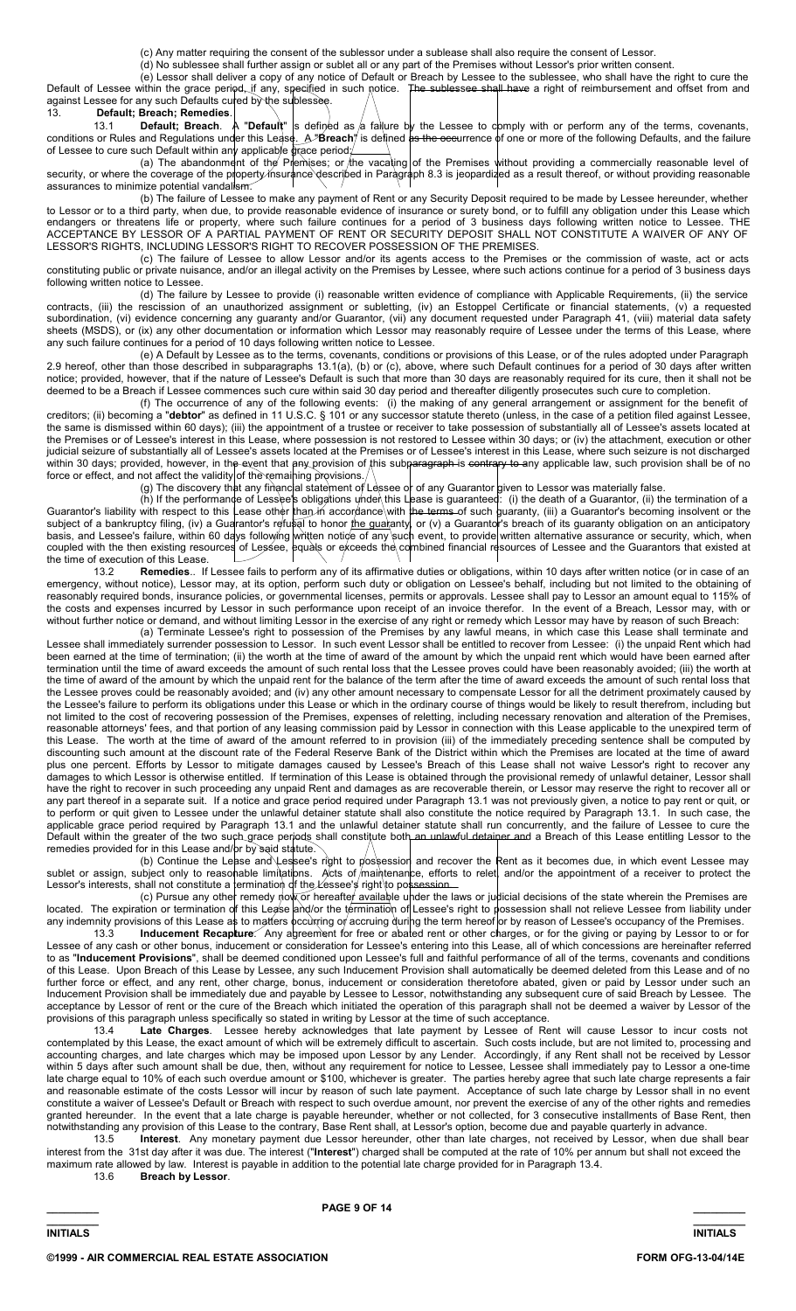(c) Any matter requiring the consent of the sublessor under a sublease shall also require the consent of Lessor.

(d) No sublessee shall further assign or sublet all or any part of the Premises without Lessor's prior written consent.

 (e) Lessor shall deliver a copy of any notice of Default or Breach by Lessee to the sublessee, who shall have the right to cure the Default of Lessee within the grace period, if any, specified in such notice. The sublessee shall have a right of reimbursement and offset from and against Lessee for any such Defaults cured by the sublessee.

# 13. **Default; Breach; Remedies**.

13.1 **Default; Breach**. A "Default" is defined as a failure by the Lessee to comply with or perform any of the terms, covenants, conditions or Rules and Regulations under this Lease. A "**Breach**" is defined as the occurrence of one or more of the following Defaults, and the failure of Lessee to cure such Default within any applicable grace period:

(a) The abandonment of the Premises; or the vacating of the Premises without providing a commercially reasonable level of security, or where the coverage of the property ∕nsurance`described in Paragraph 8.3 is jeopardized as a result thereof, or without providing reasonable assurances to minimize potential vandal<del>ism</del>.

 (b) The failure of Lessee to make any payment of Rent or any Security Deposit required to be made by Lessee hereunder, whether to Lessor or to a third party, when due, to provide reasonable evidence of insurance or surety bond, or to fulfill any obligation under this Lease which endangers or threatens life or property, where such failure continues for a period of 3 business days following written notice to Lessee. THE ACCEPTANCE BY LESSOR OF A PARTIAL PAYMENT OF RENT OR SECURITY DEPOSIT SHALL NOT CONSTITUTE A WAIVER OF ANY OF LESSOR'S RIGHTS, INCLUDING LESSOR'S RIGHT TO RECOVER POSSESSION OF THE PREMISES.

 (c) The failure of Lessee to allow Lessor and/or its agents access to the Premises or the commission of waste, act or acts constituting public or private nuisance, and/or an illegal activity on the Premises by Lessee, where such actions continue for a period of 3 business days following written notice to Lessee.

 (d) The failure by Lessee to provide (i) reasonable written evidence of compliance with Applicable Requirements, (ii) the service contracts, (iii) the rescission of an unauthorized assignment or subletting, (iv) an Estoppel Certificate or financial statements, (v) a requested subordination, (vi) evidence concerning any guaranty and/or Guarantor, (vii) any document requested under Paragraph 41, (viii) material data safety sheets (MSDS), or (ix) any other documentation or information which Lessor may reasonably require of Lessee under the terms of this Lease, where any such failure continues for a period of 10 days following written notice to Lessee.

 (e) A Default by Lessee as to the terms, covenants, conditions or provisions of this Lease, or of the rules adopted under Paragraph 2.9 hereof, other than those described in subparagraphs 13.1(a), (b) or (c), above, where such Default continues for a period of 30 days after written notice; provided, however, that if the nature of Lessee's Default is such that more than 30 days are reasonably required for its cure, then it shall not be deemed to be a Breach if Lessee commences such cure within said 30 day period and thereafter diligently prosecutes such cure to completion.

 (f) The occurrence of any of the following events: (i) the making of any general arrangement or assignment for the benefit of creditors; (ii) becoming a "**debtor**" as defined in 11 U.S.C. § 101 or any successor statute thereto (unless, in the case of a petition filed against Lessee, the same is dismissed within 60 days); (iii) the appointment of a trustee or receiver to take possession of substantially all of Lessee's assets located at the Premises or of Lessee's interest in this Lease, where possession is not restored to Lessee within 30 days; or (iv) the attachment, execution or other judicial seizure of substantially all of Lessee's assets located at the Premises or of Lessee's interest in this Lease, where such seizure is not discharged within 30 days; provided, however, in the event that any provision of this subparagraph is contrary to any applicable law, such provision shall be of no force or effect, and not affect the validity of the remaining provisions.

(g) The discovery that any financial statement of Lessee or of any Guarantor given to Lessor was materially false.

(h) If the performance of Lessee's obligations under this Lease is guaranteed: (i) the death of a Guarantor, (ii) the termination of a Guarantor's liability with respect to this Lease other than in accordance with the terms of such guaranty, (iii) a Guarantor's becoming insolvent or the subject of a bankruptcy filing, (iv) a Guarantor's refu§al to honor <u>the guala</u>nty, or (v) a Guarantor's breach of its guaranty obligation on an anticipatory basis, and Lessee's failure, within 60 days following written notice of any such event, to provide written alternative assurance or security, which, when coupled with the then existing resources of Lessee, equals or exceeds the combined financial resources of Lessee and the Guarantors that existed at the time of execution of this Lease.

 13.2 **Remedies**.. If Lessee fails to perform any of its affirmative duties or obligations, within 10 days after written notice (or in case of an emergency, without notice), Lessor may, at its option, perform such duty or obligation on Lessee's behalf, including but not limited to the obtaining of reasonably required bonds, insurance policies, or governmental licenses, permits or approvals. Lessee shall pay to Lessor an amount equal to 115% of the costs and expenses incurred by Lessor in such performance upon receipt of an invoice therefor. In the event of a Breach, Lessor may, with or without further notice or demand, and without limiting Lessor in the exercise of any right or remedy which Lessor may have by reason of such Breach:

 (a) Terminate Lessee's right to possession of the Premises by any lawful means, in which case this Lease shall terminate and Lessee shall immediately surrender possession to Lessor. In such event Lessor shall be entitled to recover from Lessee: (i) the unpaid Rent which had been earned at the time of termination; (ii) the worth at the time of award of the amount by which the unpaid rent which would have been earned after termination until the time of award exceeds the amount of such rental loss that the Lessee proves could have been reasonably avoided; (iii) the worth at the time of award of the amount by which the unpaid rent for the balance of the term after the time of award exceeds the amount of such rental loss that the Lessee proves could be reasonably avoided; and (iv) any other amount necessary to compensate Lessor for all the detriment proximately caused by the Lessee's failure to perform its obligations under this Lease or which in the ordinary course of things would be likely to result therefrom, including but not limited to the cost of recovering possession of the Premises, expenses of reletting, including necessary renovation and alteration of the Premises, reasonable attorneys' fees, and that portion of any leasing commission paid by Lessor in connection with this Lease applicable to the unexpired term of this Lease. The worth at the time of award of the amount referred to in provision (iii) of the immediately preceding sentence shall be computed by discounting such amount at the discount rate of the Federal Reserve Bank of the District within which the Premises are located at the time of award plus one percent. Efforts by Lessor to mitigate damages caused by Lessee's Breach of this Lease shall not waive Lessor's right to recover any damages to which Lessor is otherwise entitled. If termination of this Lease is obtained through the provisional remedy of unlawful detainer, Lessor shall have the right to recover in such proceeding any unpaid Rent and damages as are recoverable therein, or Lessor may reserve the right to recover all or any part thereof in a separate suit. If a notice and grace period required under Paragraph 13.1 was not previously given, a notice to pay rent or quit, or to perform or quit given to Lessee under the unlawful detainer statute shall also constitute the notice required by Paragraph 13.1. In such case, the applicable grace period required by Paragraph 13.1 and the unlawful detainer statute shall run concurrently, and the failure of Lessee to cure the Default within the greater of the two such grace periods shall constitute both an unlawful detainer and a Breach of this Lease entitling Lessor to the remedies provided for in this Lease and/or by said statute.

 (b) Continue the Lease and Lessee's right to possession and recover the Rent as it becomes due, in which event Lessee may sublet or assign, subject only to reasonable limitations. Acts of maintenance, efforts to relet, and/or the appointment of a receiver to protect the Lessor's interests, shall not constitute a termination of the Lessee's right to possession.

 (c) Pursue any other remedy now or hereafter available under the laws or judicial decisions of the state wherein the Premises are located. The expiration or termination of this Lease and/or the termination of Lessee's right to possession shall not relieve Lessee from liability under any indemnity provisions of this Lease as to matters occurring or accruing during the term hereof or by reason of Lessee's occupancy of the Premises.

 13.3 **Inducement Recapture**. Any agreement for free or abated rent or other charges, or for the giving or paying by Lessor to or for Lessee of any cash or other bonus, inducement or consideration for Lessee's entering into this Lease, all of which concessions are hereinafter referred to as "**Inducement Provisions**", shall be deemed conditioned upon Lessee's full and faithful performance of all of the terms, covenants and conditions of this Lease. Upon Breach of this Lease by Lessee, any such Inducement Provision shall automatically be deemed deleted from this Lease and of no further force or effect, and any rent, other charge, bonus, inducement or consideration theretofore abated, given or paid by Lessor under such an Inducement Provision shall be immediately due and payable by Lessee to Lessor, notwithstanding any subsequent cure of said Breach by Lessee. The acceptance by Lessor of rent or the cure of the Breach which initiated the operation of this paragraph shall not be deemed a waiver by Lessor of the provisions of this paragraph unless specifically so stated in writing by Lessor at the time of such acceptance.

 13.4 **Late Charges**. Lessee hereby acknowledges that late payment by Lessee of Rent will cause Lessor to incur costs not contemplated by this Lease, the exact amount of which will be extremely difficult to ascertain. Such costs include, but are not limited to, processing and accounting charges, and late charges which may be imposed upon Lessor by any Lender. Accordingly, if any Rent shall not be received by Lessor within 5 days after such amount shall be due, then, without any requirement for notice to Lessee, Lessee shall immediately pay to Lessor a one-time late charge equal to 10% of each such overdue amount or \$100, whichever is greater. The parties hereby agree that such late charge represents a fair and reasonable estimate of the costs Lessor will incur by reason of such late payment. Acceptance of such late charge by Lessor shall in no event constitute a waiver of Lessee's Default or Breach with respect to such overdue amount, nor prevent the exercise of any of the other rights and remedies granted hereunder. In the event that a late charge is payable hereunder, whether or not collected, for 3 consecutive installments of Base Rent, then notwithstanding any provision of this Lease to the contrary, Base Rent shall, at Lessor's option, become due and payable quarterly in advance<br>13.5 **Interest**. Any monetary payment due Lessor hereunder, other than late char

Interest. Any monetary payment due Lessor hereunder, other than late charges, not received by Lessor, when due shall bear interest from the 31st day after it was due. The interest ("**Interest**") charged shall be computed at the rate of 10% per annum but shall not exceed the maximum rate allowed by law. Interest is payable in addition to the potential late charge provided for in Paragraph 13.4. 13.6 **Breach by Lessor**.

**INITIALS INITIALS**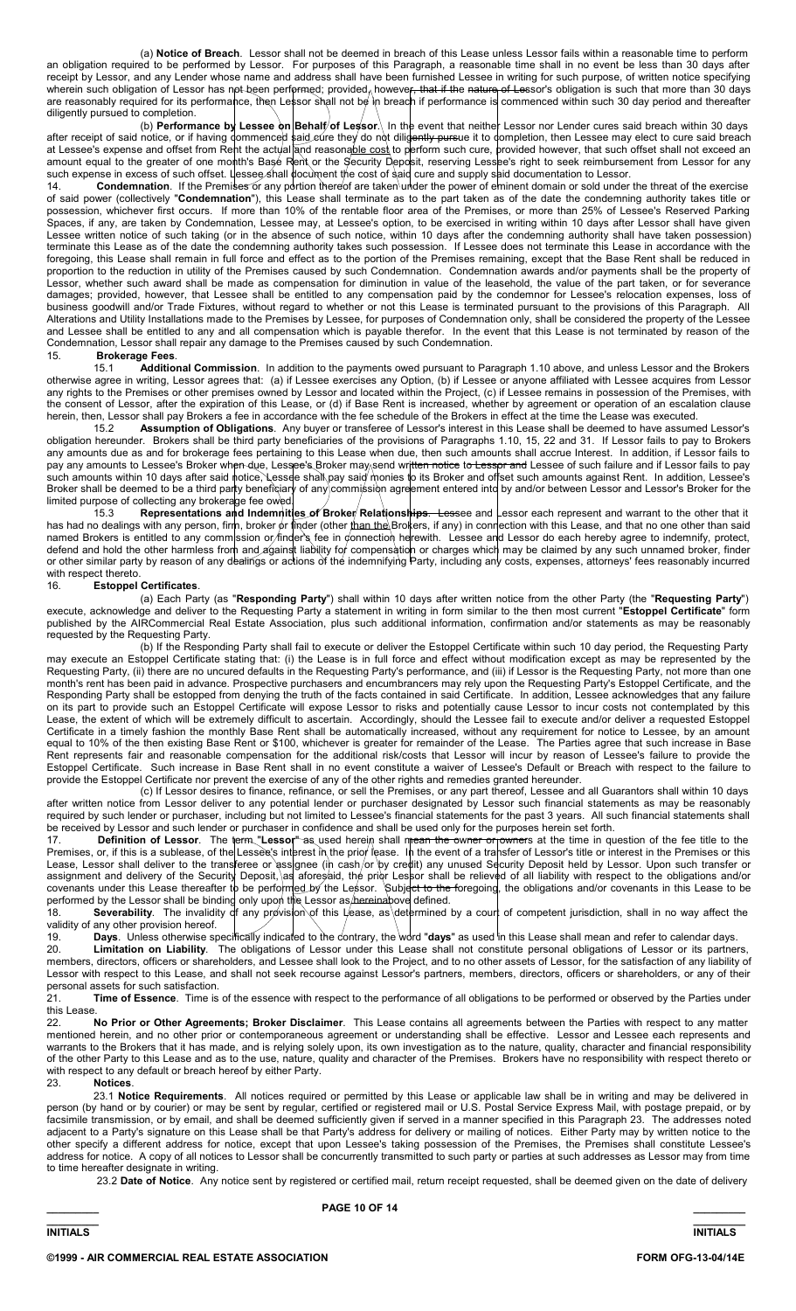(a) **Notice of Breach**. Lessor shall not be deemed in breach of this Lease unless Lessor fails within a reasonable time to perform an obligation required to be performed by Lessor. For purposes of this Paragraph, a reasonable time shall in no event be less than 30 days after receipt by Lessor, and any Lender whose name and address shall have been furnished Lessee in writing for such purpose, of written notice specifying wherein such obligation of Lessor has not been performed; provided, however<del>, that if th</del>e nature of Lessor's obligation is such that more than 30 days are reasonably required for its performance, then Lessor shall not be in breach if performance is commenced within such 30 day period and thereafter diligently pursued to completion.

 (b) **Performance by Lessee on Behalf of Lessor**. In the event that neither Lessor nor Lender cures said breach within 30 days after receipt of said notice, or if having dommenced said cure they do not diligently pursue it to dompletion, then Lessee may elect to cure said breach at Lessee's expense and offset from Reht the actual and reasonable cost to perform such cure, provided however, that such offset shall not exceed an amount equal to the greater of one month's Base Rent or the Security Deposit, reserving Lessee's right to seek reimbursement from Lessor for any such expense in excess of such offset. Lessee shall document the cost of said cure and supply said documentation to Lessor.

14. **Condemnation**. If the Premises or any portion thereof are taken under the power of eminent domain or sold under the threat of the exercise of said power (collectively "**Condemnation**"), this Lease shall terminate as to the part taken as of the date the condemning authority takes title or possession, whichever first occurs. If more than 10% of the rentable floor area of the Premises, or more than 25% of Lessee's Reserved Parking Spaces, if any, are taken by Condemnation, Lessee may, at Lessee's option, to be exercised in writing within 10 days after Lessor shall have given Lessee written notice of such taking (or in the absence of such notice, within 10 days after the condemning authority shall have taken possession) terminate this Lease as of the date the condemning authority takes such possession. If Lessee does not terminate this Lease in accordance with the foregoing, this Lease shall remain in full force and effect as to the portion of the Premises remaining, except that the Base Rent shall be reduced in proportion to the reduction in utility of the Premises caused by such Condemnation. Condemnation awards and/or payments shall be the property of Lessor, whether such award shall be made as compensation for diminution in value of the leasehold, the value of the part taken, or for severance damages; provided, however, that Lessee shall be entitled to any compensation paid by the condemnor for Lessee's relocation expenses, loss of business goodwill and/or Trade Fixtures, without regard to whether or not this Lease is terminated pursuant to the provisions of this Paragraph. All Alterations and Utility Installations made to the Premises by Lessee, for purposes of Condemnation only, shall be considered the property of the Lessee and Lessee shall be entitled to any and all compensation which is payable therefor. In the event that this Lease is not terminated by reason of the Condemnation, Lessor shall repair any damage to the Premises caused by such Condemnation.

15. **Brokerage Fees**. 15.1 **Additional Commission**. In addition to the payments owed pursuant to Paragraph 1.10 above, and unless Lessor and the Brokers otherwise agree in writing, Lessor agrees that: (a) if Lessee exercises any Option, (b) if Lessee or anyone affiliated with Lessee acquires from Lessor any rights to the Premises or other premises owned by Lessor and located within the Project, (c) if Lessee remains in possession of the Premises, with the consent of Lessor, after the expiration of this Lease, or (d) if Base Rent is increased, whether by agreement or operation of an escalation clause herein, then, Lessor shall pay Brokers a fee in accordance with the fee schedule of the Brokers in effect at the time the Lease was executed.

 15.2 **Assumption of Obligations**. Any buyer or transferee of Lessor's interest in this Lease shall be deemed to have assumed Lessor's obligation hereunder. Brokers shall be third party beneficiaries of the provisions of Paragraphs 1.10, 15, 22 and 31. If Lessor fails to pay to Brokers any amounts due as and for brokerage fees pertaining to this Lease when due, then such amounts shall accrue Interest. In addition, if Lessor fails to pay any amounts to Lessee's Broker wh<del>en d</del>ue, Lessee's Broker may<sub> </sub>send writte<del>n notice to Lessor and</del> Lessee of such failure and if Lessor fails to pay such amounts within 10 days after said notice, Lessee shall pay said monies to its Broker and offset such amounts against Rent. In addition, Lessee's Broker shall be deemed to be a third party beneficiary of any)commission agreement entered into by and/or between Lessor and Lessor's Broker for the limited purpose of collecting any brokerage fee owed

 15.3 **Representations and Indemnities of Broker Relationships**. Lessee and Lessor each represent and warrant to the other that it has had no dealings with any person, firm, broker or finder (other than the Brokers, if any) in connection with this Lease, and that no one other than said named Brokers is entitled to any commission or finder's fee in connection herewith. Lessee and Lessor do each hereby agree to indemnify, protect, defend and hold the other harmless from and against liability for compensation or charges which may be claimed by any such unnamed broker, finder or other similar party by reason of any dealings or actions of the indemnifying Party, including any costs, expenses, attorneys' fees reasonably incurred with respect thereto.

# 16. **Estoppel Certificates**.

 (a) Each Party (as "**Responding Party**") shall within 10 days after written notice from the other Party (the "**Requesting Party**") execute, acknowledge and deliver to the Requesting Party a statement in writing in form similar to the then most current "**Estoppel Certificate**" form published by the AIRCommercial Real Estate Association, plus such additional information, confirmation and/or statements as may be reasonably requested by the Requesting Party.

 (b) If the Responding Party shall fail to execute or deliver the Estoppel Certificate within such 10 day period, the Requesting Party may execute an Estoppel Certificate stating that: (i) the Lease is in full force and effect without modification except as may be represented by the Requesting Party, (ii) there are no uncured defaults in the Requesting Party's performance, and (iii) if Lessor is the Requesting Party, not more than one month's rent has been paid in advance. Prospective purchasers and encumbrancers may rely upon the Requesting Party's Estoppel Certificate, and the Responding Party shall be estopped from denying the truth of the facts contained in said Certificate. In addition, Lessee acknowledges that any failure on its part to provide such an Estoppel Certificate will expose Lessor to risks and potentially cause Lessor to incur costs not contemplated by this Lease, the extent of which will be extremely difficult to ascertain. Accordingly, should the Lessee fail to execute and/or deliver a requested Estoppel Certificate in a timely fashion the monthly Base Rent shall be automatically increased, without any requirement for notice to Lessee, by an amount equal to 10% of the then existing Base Rent or \$100, whichever is greater for remainder of the Lease. The Parties agree that such increase in Base Rent represents fair and reasonable compensation for the additional risk/costs that Lessor will incur by reason of Lessee's failure to provide the Estoppel Certificate. Such increase in Base Rent shall in no event constitute a waiver of Lessee's Default or Breach with respect to the failure to provide the Estoppel Certificate nor prevent the exercise of any of the other rights and remedies granted hereunder.

 (c) If Lessor desires to finance, refinance, or sell the Premises, or any part thereof, Lessee and all Guarantors shall within 10 days after written notice from Lessor deliver to any potential lender or purchaser designated by Lessor such financial statements as may be reasonably required by such lender or purchaser, including but not limited to Lessee's financial statements for the past 3 years. All such financial statements shall be received by Lessor and such lender or purchaser in confidence and shall be used only for the purposes herein set forth.

17. **Definition of Lessor**. The term "Lessor" as used herein shall mean the owner or owners at the time in question of the fee title to the Premises, or, if this is a sublease, of the Lessee's interest in the prior lease. In the event of a transfer of Lessor's title or interest in the Premises or this Lease, Lessor shall deliver to the transferee or assignee (in cash/or by credit) any unused Security Deposit held by Lessor. Upon such transfer or assignment and delivery of the Security Deposit, as aforesaid, the prior Lessor shall be relieved of all liability with respect to the obligations and/or covenants under this Lease thereafter to be performed by the Lessor. Subject to the foregoing, the obligations and/or covenants in this Lease to be performed by the Lessor shall be binding only upon the Lessor as hereinabove defined.

18. **Severability**. The invalidity of any provision of this Lease, as determined by a court of competent jurisdiction, shall in no way affect the validity of any other provision hereof.

19. **Days**. Unless otherwise specifically indicated to the contrary, the word "**days**" as used in this Lease shall mean and refer to calendar days.

20. **Limitation on Liability**. The obligations of Lessor under this Lease shall not constitute personal obligations of Lessor or its partners, members, directors, officers or shareholders, and Lessee shall look to the Project, and to no other assets of Lessor, for the satisfaction of any liability of Lessor with respect to this Lease, and shall not seek recourse against Lessor's partners, members, directors, officers or shareholders, or any of their personal assets for such satisfaction.

21. **Time of Essence**. Time is of the essence with respect to the performance of all obligations to be performed or observed by the Parties under this Lease.<br>22.

22. **No Prior or Other Agreements; Broker Disclaimer**. This Lease contains all agreements between the Parties with respect to any matter mentioned herein, and no other prior or contemporaneous agreement or understanding shall be effective. Lessor and Lessee each represents and warrants to the Brokers that it has made, and is relying solely upon, its own investigation as to the nature, quality, character and financial responsibility of the other Party to this Lease and as to the use, nature, quality and character of the Premises. Brokers have no responsibility with respect thereto or with respect to any default or breach hereof by either Party.

### 23. **Notices**.

 23.1 **Notice Requirements**. All notices required or permitted by this Lease or applicable law shall be in writing and may be delivered in person (by hand or by courier) or may be sent by regular, certified or registered mail or U.S. Postal Service Express Mail, with postage prepaid, or by facsimile transmission, or by email, and shall be deemed sufficiently given if served in a manner specified in this Paragraph 23. The addresses noted adjacent to a Party's signature on this Lease shall be that Party's address for delivery or mailing of notices. Either Party may by written notice to the other specify a different address for notice, except that upon Lessee's taking possession of the Premises, the Premises shall constitute Lessee's address for notice. A copy of all notices to Lessor shall be concurrently transmitted to such party or parties at such addresses as Lessor may from time to time hereafter designate in writing.

23.2 Date of Notice. Any notice sent by registered or certified mail, return receipt requested, shall be deemed given on the date of delivery

**\_\_\_\_\_\_\_\_\_ PAGE 10 OF 14 \_\_\_\_\_\_\_\_\_**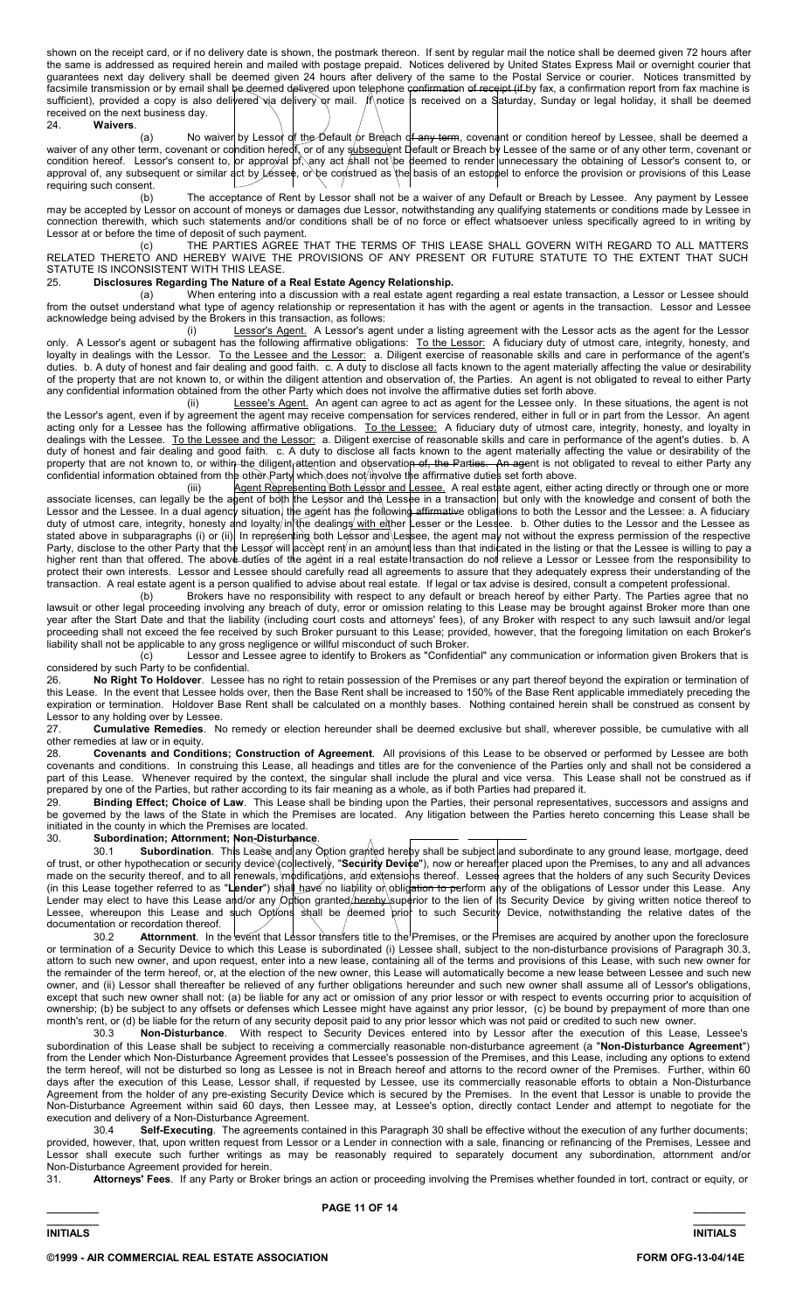shown on the receipt card, or if no delivery date is shown, the postmark thereon. If sent by regular mail the notice shall be deemed given 72 hours after the same is addressed as required herein and mailed with postage prepaid. Notices delivered by United States Express Mail or overnight courier that guarantees next day delivery shall be deemed given 24 hours after delivery of the same to the Postal Service or courier. Notices transmitted by facsimile transmission or by email shall be deemed delivered upon telephone confirmation of receipt (if by fax, a confirmation report from fax machine is sufficient), provided a copy is also delivered via delivery or mail. If notice is received on a Saturday, Sunday or legal holiday, it shall be deemed received on the next business day. 24. **Waivers**.

(a) No waiver by Lessor of the Default or Breach of any term, covenant or condition hereof by Lessee, shall be deemed a waiver of any other term, covenant or condition hereo∖, or of any subsequent Default or Breach by Lessee of the same or of any other term, covenant or condition hereof. Lessor's consent to, or approval of, any act shall not be deemed to render unnecessary the obtaining of Lessor's consent to, or approval of, any subsequent or similar act by Léssee, or`be construed as the basis of an estoppel to enforce the provision or provisions of this Lease requiring such consent.

 (b) The acceptance of Rent by Lessor shall not be a waiver of any Default or Breach by Lessee. Any payment by Lessee may be accepted by Lessor on account of moneys or damages due Lessor, notwithstanding any qualifying statements or conditions made by Lessee in connection therewith, which such statements and/or conditions shall be of no force or effect whatsoever unless specifically agreed to in writing by Lessor at or before the time of deposit of such payment.

 (c) THE PARTIES AGREE THAT THE TERMS OF THIS LEASE SHALL GOVERN WITH REGARD TO ALL MATTERS RELATED THERETO AND HEREBY WAIVE THE PROVISIONS OF ANY PRESENT OR FUTURE STATUTE TO THE EXTENT THAT SUCH STATUTE IS INCONSISTENT WITH THIS LEASE.

#### 25. **Disclosures Regarding The Nature of a Real Estate Agency Relationship.**

(a) When entering into a discussion with a real estate agent regarding a real estate transaction, a Lessor or Lessee should from the outset understand what type of agency relationship or representation it has with the agent or agents in the transaction. Lessor and Lessee acknowledge being advised by the Brokers in this transaction, as follows:<br>(i) Lessor's Agent. A Lessor's age

Lessor's Agent. A Lessor's agent under a listing agreement with the Lessor acts as the agent for the Lessor only. A Lessor's agent or subagent has the following affirmative obligations: To the Lessor:A fiduciary duty of utmost care, integrity, honesty, and loyalty in dealings with the Lessor. To the Lessee and the Lessor: a. Diligent exercise of reasonable skills and care in performance of the agent's duties. b. A duty of honest and fair dealing and good faith. c. A duty to disclose all facts known to the agent materially affecting the value or desirability of the property that are not known to, or within the diligent attention and observation of, the Parties. An agent is not obligated to reveal to either Party any confidential information obtained from the other Party which does not involve the affirmative duties set forth above.

 (ii) Lessee's Agent.An agent can agree to act as agent for the Lessee only. In these situations, the agent is not the Lessor's agent, even if by agreement the agent may receive compensation for services rendered, either in full or in part from the Lessor. An agent acting only for a Lessee has the following affirmative obligations. To the Lessee: A fiduciary duty of utmost care, integrity, honesty, and loyalty in dealings with the Lessee. To the Lessee and the Lessor:a. Diligent exercise of reasonable skills and care in performance of the agent's duties. b. A duty of honest and fair dealing and good faith. c. A duty to disclose all facts known to the agent materially affecting the value or desirability of the property that are not known to, or within the diligent attention and observation of, the Parties. An agent is not obligated to reveal to either Party any confidential information obtained from the other Party which does not involve the affirmative duties set forth above.

(iii) Agent Representing Both Lessor and Lessee. A real estate agent, either acting directly or through one or more associate licenses, can legally be the agent of both the Lessor and the Lessee in a transaction, but only with the knowledge and consent of both the Lessor and the Lessee. In a dual agency situation, the agent has the following affirmative obligations to both the Lessor and the Lessee: a. A fiduciary duty of utmost care, integrity, honesty and loyalty/in the dealings with either Lesser or the Lessee. b. Other duties to the Lessor and the Lessee as stated above in subparagraphs (i) or (ii). In representing both Lessor and\Lessee, the agent may not without the express permission of the respective Party, disclose to the other Party that the Lessor will accept rent in an amount less than that indicated in the listing or that the Lessee is willing to pay a higher rent than that offered. The above duties of the agent in a real estate transaction do not relieve a Lessor or Lessee from the responsibility to protect their own interests. Lessor and Lessee should carefully read all agreements to assure that they adequately express their understanding of the transaction. A real estate agent is a person qualified to advise about real estate. If legal or tax advise is desired, consult a competent professional.

 (b) Brokers have no responsibility with respect to any default or breach hereof by either Party. The Parties agree that no lawsuit or other legal proceeding involving any breach of duty, error or omission relating to this Lease may be brought against Broker more than one year after the Start Date and that the liability (including court costs and attorneys' fees), of any Broker with respect to any such lawsuit and/or legal proceeding shall not exceed the fee received by such Broker pursuant to this Lease; provided, however, that the foregoing limitation on each Broker's liability shall not be applicable to any gross negligence or willful misconduct of such Broker.

 (c) Lessor and Lessee agree to identify to Brokers as "Confidential" any communication or information given Brokers that is considered by such Party to be confidential.

26. **No Right To Holdover**. Lessee has no right to retain possession of the Premises or any part thereof beyond the expiration or termination of this Lease. In the event that Lessee holds over, then the Base Rent shall be increased to 150% of the Base Rent applicable immediately preceding the expiration or termination. Holdover Base Rent shall be calculated on a monthly bases. Nothing contained herein shall be construed as consent by Lessor to any holding over by Lessee.

27. **Cumulative Remedies**. No remedy or election hereunder shall be deemed exclusive but shall, wherever possible, be cumulative with all other remedies at law or in equity.

28. **Covenants and Conditions; Construction of Agreement**. All provisions of this Lease to be observed or performed by Lessee are both covenants and conditions. In construing this Lease, all headings and titles are for the convenience of the Parties only and shall not be considered a part of this Lease. Whenever required by the context, the singular shall include the plural and vice versa. This Lease shall not be construed as if prepared by one of the Parties, but rather according to its fair meaning as a whole, as if both Parties had prepared it.

29. **Binding Effect; Choice of Law**. This Lease shall be binding upon the Parties, their personal representatives, successors and assigns and be governed by the laws of the State in which the Premises are located. Any litigation between the Parties hereto concerning this Lease shall be initiated in the county in which the Premises are located.

#### 30. **Subordination; Attornment; Non-Disturbance**.

30.1 **Subordination**. This Lease and any Option granted hereby shall be subject and subordinate to any ground lease, mortgage, deed of trust, or other hypothecation or security device (collectively, "**Security Device**"), now or hereafter placed upon the Premises, to any and all advances made on the security thereof, and to all renewals, modifications, and extensions thereof. Lessee agrees that the holders of any such Security Devices (in this Lease together referred to as "**Lender**") shall have no liability or obligation to perform any of the obligations of Lessor under this Lease. Any Lender may elect to have this Lease and/or any Option granted/hereby superior to the lien of its Security Device by giving written notice thereof to Lessee, whereupon this Lease and such Options shall be deemed prior to such Security Device, notwithstanding the relative dates of the documentation or recordation thereof.

30.2 **Attornment**. In the event that Lessor transfers title to the Premises, or the Premises are acquired by another upon the foreclosure or termination of a Security Device to which this Lease is subordinated (i) Lessee shall, subject to the non-disturbance provisions of Paragraph 30.3, attorn to such new owner, and upon request, enter into a new lease, containing all of the terms and provisions of this Lease, with such new owner for the remainder of the term hereof, or, at the election of the new owner, this Lease will automatically become a new lease between Lessee and such new owner, and (ii) Lessor shall thereafter be relieved of any further obligations hereunder and such new owner shall assume all of Lessor's obligations, except that such new owner shall not: (a) be liable for any act or omission of any prior lessor or with respect to events occurring prior to acquisition of ownership; (b) be subject to any offsets or defenses which Lessee might have against any prior lessor, (c) be bound by prepayment of more than one month's rent, or (d) be liable for the return of any security deposit paid to any prior lessor which was not paid or credited to such new owner.

 30.3 **Non-Disturbance**. With respect to Security Devices entered into by Lessor after the execution of this Lease, Lessee's subordination of this Lease shall be subject to receiving a commercially reasonable non-disturbance agreement (a "**Non-Disturbance Agreement**") from the Lender which Non-Disturbance Agreement provides that Lessee's possession of the Premises, and this Lease, including any options to extend the term hereof, will not be disturbed so long as Lessee is not in Breach hereof and attorns to the record owner of the Premises. Further, within 60 days after the execution of this Lease, Lessor shall, if requested by Lessee, use its commercially reasonable efforts to obtain a Non-Disturbance Agreement from the holder of any pre-existing Security Device which is secured by the Premises. In the event that Lessor is unable to provide the Non-Disturbance Agreement within said 60 days, then Lessee may, at Lessee's option, directly contact Lender and attempt to negotiate for the execution and delivery of a Non-Disturbance Agreement.

 30.4 **Self-Executing**. The agreements contained in this Paragraph 30 shall be effective without the execution of any further documents; provided, however, that, upon written request from Lessor or a Lender in connection with a sale, financing or refinancing of the Premises, Lessee and Lessor shall execute such further writings as may be reasonably required to separately document any subordination, attornment and/or Non-Disturbance Agreement provided for herein.

31. **Attorneys' Fees**. If any Party or Broker brings an action or proceeding involving the Premises whether founded in tort, contract or equity, or

**\_\_\_\_\_\_\_\_\_ \_\_\_\_\_\_\_\_\_ INITIALS INITIALS**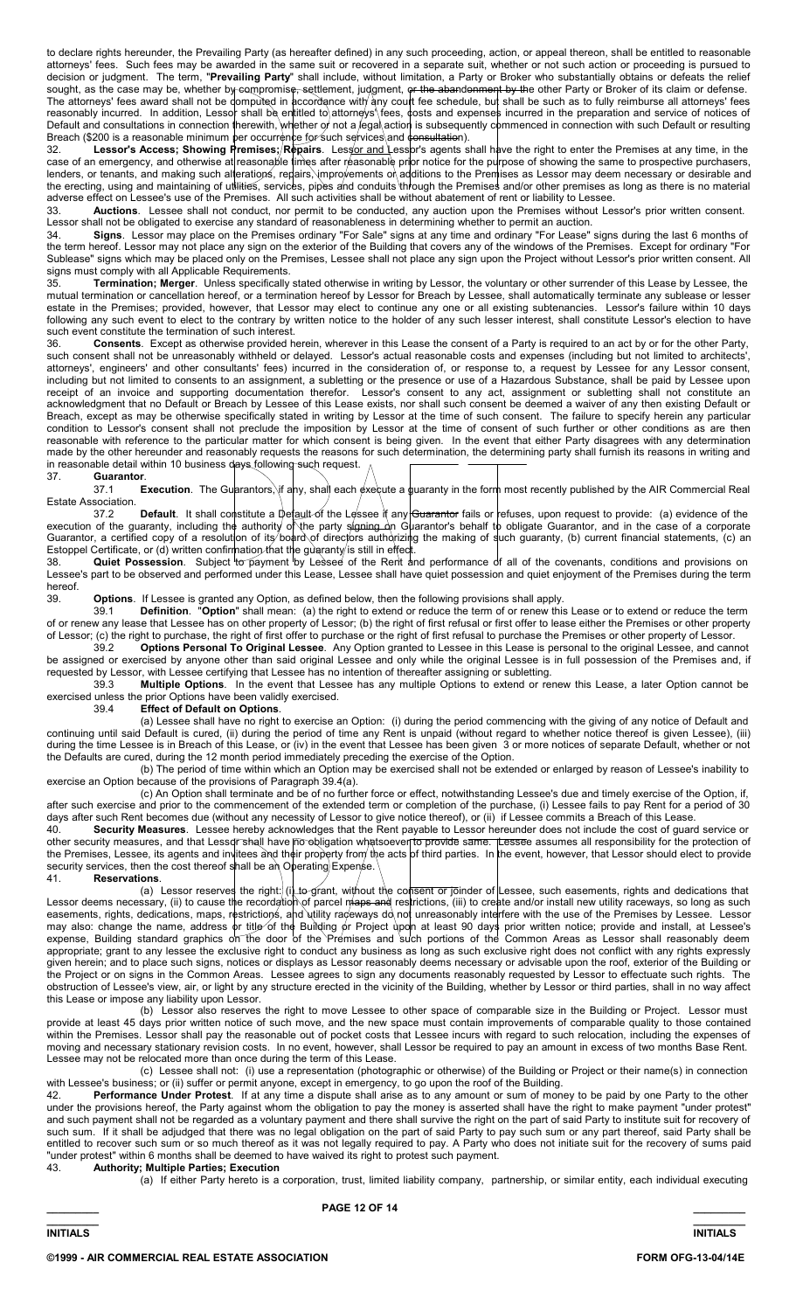to declare rights hereunder, the Prevailing Party (as hereafter defined) in any such proceeding, action, or appeal thereon, shall be entitled to reasonable attorneys' fees. Such fees may be awarded in the same suit or recovered in a separate suit, whether or not such action or proceeding is pursued to decision or judgment. The term, "**Prevailing Party**" shall include, without limitation, a Party or Broker who substantially obtains or defeats the relief sought, as the case may be, whether by compromise, settlement, judgment, or the abandonment by the other Party or Broker of its claim or defense. The attorneys' fees award shall not be domputed in accordance with any court fee schedule, but shall be such as to fully reimburse all attorneys' fees reasonably incurred. In addition, Lessor shall be entitled to attorneys\fees, costs and expenses incurred in the preparation and service of notices of Default and consultations in connection therewith, whether or not a legal action is subsequently commenced in connection with such Default or resulting Breach (\$200 is a reasonable minimum per occurrence for such services and consultation).

32. **Lessor's Access; Showing Premises; Repairs**. Lessor and Lessor's agents shall have the right to enter the Premises at any time, in the case of an emergency, and otherwise at reasonable times after reasonable prior notice for the purpose of showing the same to prospective purchasers, lenders, or tenants, and making such alterations, repairs,∖impro√ements or∖additions to the Premises as Lessor may deem necessary or desirable and the erecting, using and maintaining of u़tilities, services, pipes and conduits through the Premises and/or other premises as long as there is no material adverse effect on Lessee's use of the Premises. All such activities shall be without abatement of rent or liability to Lessee.

33. **Auctions**. Lessee shall not conduct, nor permit to be conducted, any auction upon the Premises without Lessor's prior written consent.<br>Lessor shall not be obligated to exercise any standard of reasonableness in determ shall not be obligated to exercise any standard of reasonableness in determining whether to permit an auction.

34. **Signs**. Lessor may place on the Premises ordinary "For Sale" signs at any time and ordinary "For Lease" signs during the last 6 months of the term hereof. Lessor may not place any sign on the exterior of the Building that covers any of the windows of the Premises. Except for ordinary "For Sublease" signs which may be placed only on the Premises, Lessee shall not place any sign upon the Project without Lessor's prior written consent. All signs must comply with all Applicable Requirements.<br>35. **Termination: Merger**. Unless specifically

35. **Termination; Merger**. Unless specifically stated otherwise in writing by Lessor, the voluntary or other surrender of this Lease by Lessee, the mutual termination or cancellation hereof, or a termination hereof by Lessor for Breach by Lessee, shall automatically terminate any sublease or lesser estate in the Premises; provided, however, that Lessor may elect to continue any one or all existing subtenancies. Lessor's failure within 10 days following any such event to elect to the contrary by written notice to the holder of any such lesser interest, shall constitute Lessor's election to have such event constitute the termination of such interest.

36. **Consents**. Except as otherwise provided herein, wherever in this Lease the consent of a Party is required to an act by or for the other Party, such consent shall not be unreasonably withheld or delayed. Lessor's actual reasonable costs and expenses (including but not limited to architects', attorneys', engineers' and other consultants' fees) incurred in the consideration of, or response to, a request by Lessee for any Lessor consent, including but not limited to consents to an assignment, a subletting or the presence or use of a Hazardous Substance, shall be paid by Lessee upon receipt of an invoice and supporting documentation therefor. Lessor's consent to any act, assignment or subletting shall not constitute an acknowledgment that no Default or Breach by Lessee of this Lease exists, nor shall such consent be deemed a waiver of any then existing Default or Breach, except as may be otherwise specifically stated in writing by Lessor at the time of such consent. The failure to specify herein any particular condition to Lessor's consent shall not preclude the imposition by Lessor at the time of consent of such further or other conditions as are then reasonable with reference to the particular matter for which consent is being given. In the event that either Party disagrees with any determination made by the other hereunder and reasonably requests the reasons for such determination, the determining party shall furnish its reasons in writing and in reasonable detail within 10 business days following such request.<br>37. **Guarantor** Guarantor

37.1 **Execution**. The Guarantors, if any, shall each execute a guaranty in the form most recently published by the AIR Commercial Real Estate Association.

 37.2 **Default**. It shall constitute a Default of the Lessee if any Guarantor fails or refuses, upon request to provide: (a) evidence of the execution of the guaranty, including the authority of the party signing on Guarantor's behalf to obligate Guarantor, and in the case of a corporate Guarantor, a certified copy of a resolution of its board of directors authorizing the making of such guaranty, (b) current financial statements, (c) an Estoppel Certificate, or (d) written confirmation that the guaranty is still in effect.

38. **Quiet Possession**. Subject to payment by Lessee of the Rent and performance of all of the covenants, conditions and provisions on Lessee's part to be observed and performed under this Lease, Lessee shall have quiet possession and quiet enjoyment of the Premises during the term hereof.

39. **Options**. If Lessee is granted any Option, as defined below, then the following provisions shall apply.

 39.1 **Definition**. "**Option**" shall mean: (a) the right to extend or reduce the term of or renew this Lease or to extend or reduce the term of or renew any lease that Lessee has on other property of Lessor; (b) the right of first refusal or first offer to lease either the Premises or other property of Lessor; (c) the right to purchase, the right of first offer to purchase or the right of first refusal to purchase the Premises or other property of Lessor.

 39.2 **Options Personal To Original Lessee**. Any Option granted to Lessee in this Lease is personal to the original Lessee, and cannot be assigned or exercised by anyone other than said original Lessee and only while the original Lessee is in full possession of the Premises and, if requested by Lessor, with Lessee certifying that Lessee has no intention of thereafter assigning or subletting.

 39.3 **Multiple Options**. In the event that Lessee has any multiple Options to extend or renew this Lease, a later Option cannot be exercised unless the prior Options have been validly exercised.

39.4 **Effect of Default on Options**.

 (a) Lessee shall have no right to exercise an Option: (i) during the period commencing with the giving of any notice of Default and continuing until said Default is cured, (ii) during the period of time any Rent is unpaid (without regard to whether notice thereof is given Lessee), (iii) during the time Lessee is in Breach of this Lease, or (iv) in the event that Lessee has been given 3 or more notices of separate Default, whether or not the Defaults are cured, during the 12 month period immediately preceding the exercise of the Option.

 (b) The period of time within which an Option may be exercised shall not be extended or enlarged by reason of Lessee's inability to exercise an Option because of the provisions of Paragraph 39.4(a).

 (c) An Option shall terminate and be of no further force or effect, notwithstanding Lessee's due and timely exercise of the Option, if, after such exercise and prior to the commencement of the extended term or completion of the purchase, (i) Lessee fails to pay Rent for a period of 30 days after such Rent becomes due (without any necessity of Lessor to give notice thereof), or (ii) if Lessee commits a Breach of this Lease.

40. **Security Measures**. Lessee hereby acknowledges that the Rent payable to Lessor hereunder does not include the cost of guard service or other security measures, and that Lessor shall have no obligation whatsoever to provide same. Lessee assumes all responsibility for the protection of the Premises, Lessee, its agents and invitees and their property from the acts of third parties. In the event, however, that Lessor should elect to provide security services, then the cost thereof shall be an Operating Expense.<br>41. **Reservations.** 

# 41. **Reservations**.

 (a) Lessor reserves the right: (i) to grant, without the consent or joinder of Lessee, such easements, rights and dedications that Lessor deems necessary, (ii) to cause the recordation of parcel maps and restrictions, (iii) to create and/or install new utility raceways, so long as such easements, rights, dedications, maps, restrictions, and utility radeways do not unreasonably interfere with the use of the Premises by Lessee. Lessor may also: change the name, address or title of the Building or Project upon at least 90 days prior written notice; provide and install, at Lessee's expense, Building standard graphics on the door of the Premises and such portions of the Common Areas as Lessor shall reasonably deem appropriate; grant to any lessee the exclusive right to conduct any business as long as such exclusive right does not conflict with any rights expressly given herein; and to place such signs, notices or displays as Lessor reasonably deems necessary or advisable upon the roof, exterior of the Building or the Project or on signs in the Common Areas. Lessee agrees to sign any documents reasonably requested by Lessor to effectuate such rights. The obstruction of Lessee's view, air, or light by any structure erected in the vicinity of the Building, whether by Lessor or third parties, shall in no way affect this Lease or impose any liability upon Lessor.

 (b) Lessor also reserves the right to move Lessee to other space of comparable size in the Building or Project. Lessor must provide at least 45 days prior written notice of such move, and the new space must contain improvements of comparable quality to those contained within the Premises. Lessor shall pay the reasonable out of pocket costs that Lessee incurs with regard to such relocation, including the expenses of moving and necessary stationary revision costs. In no event, however, shall Lessor be required to pay an amount in excess of two months Base Rent. Lessee may not be relocated more than once during the term of this Lease.

 (c) Lessee shall not: (i) use a representation (photographic or otherwise) of the Building or Project or their name(s) in connection with Lessee's business; or (ii) suffer or permit anyone, except in emergency, to go upon the roof of the Building.

42. **Performance Under Protest**. If at any time a dispute shall arise as to any amount or sum of money to be paid by one Party to the other under the provisions hereof, the Party against whom the obligation to pay the money is asserted shall have the right to make payment "under protest" and such payment shall not be regarded as a voluntary payment and there shall survive the right on the part of said Party to institute suit for recovery of such sum. If it shall be adjudged that there was no legal obligation on the part of said Party to pay such sum or any part thereof, said Party shall be entitled to recover such sum or so much thereof as it was not legally required to pay. A Party who does not initiate suit for the recovery of sums paid "under protest" within 6 months shall be deemed to have waived its right to protest such payment. 43. **Authority; Multiple Parties; Execution**

(a) If either Party hereto is a corporation, trust, limited liability company, partnership, or similar entity, each individual executing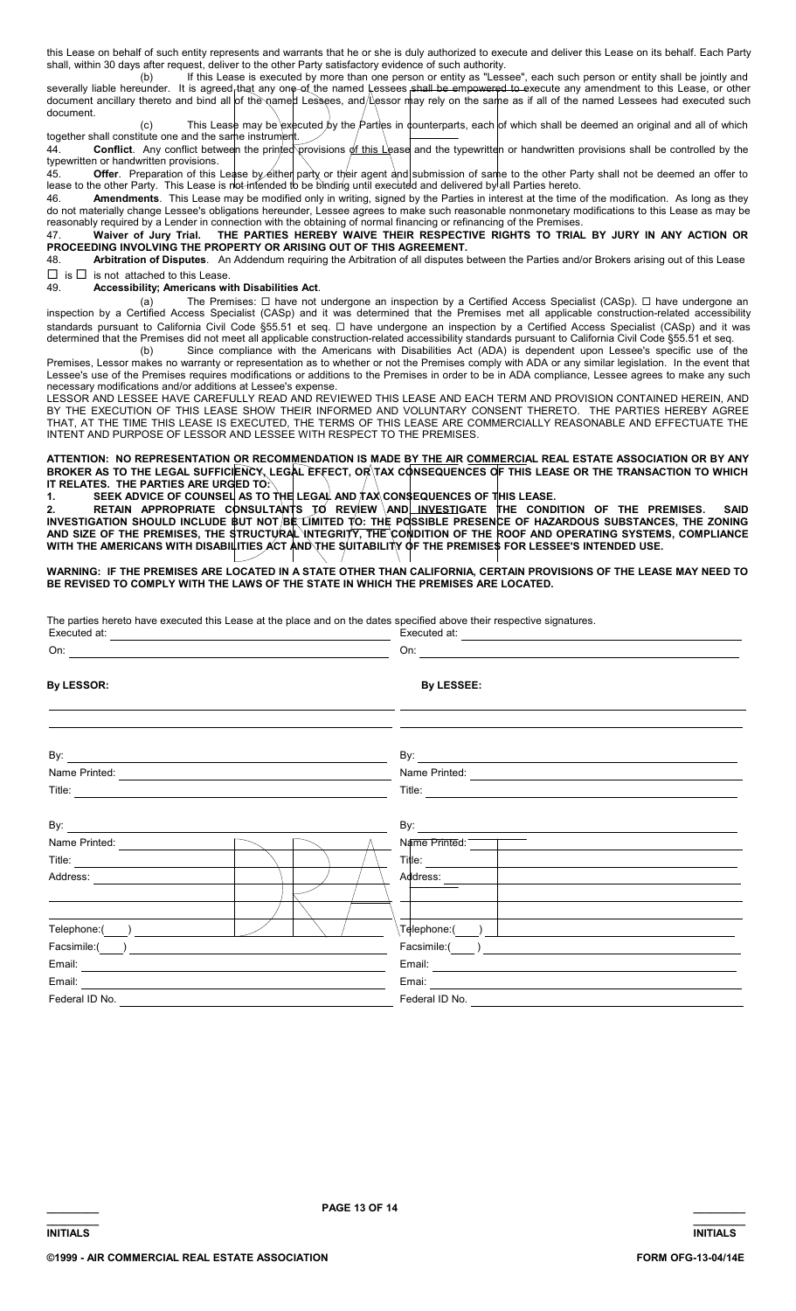this Lease on behalf of such entity represents and warrants that he or she is duly authorized to execute and deliver this Lease on its behalf. Each Party shall, within 30 days after request, deliver to the other Party satisfactory evidence of such authority.

 (b) If this Lease is executed by more than one person or entity as "Lessee", each such person or entity shall be jointly and severally liable hereunder. It is agreed<sub><sup>†</sub>that any one of the named Lessees shall be empowered to execute any amendment to this Lease, or other</sub></sup> document ancillary thereto and bind all of the named Lessees, and/Lessor may rely on the same as if all of the named Lessees had executed such document.

xecuted by the Parties in counterparts, each of which shall be deemed an original and all of which (c) This Lease may be executed by the particular together shall constitute one and the same instrument.<br>44. **Conflict** Any conflict between the printed provisions of this Lease

ase and the typewritten or handwritten provisions shall be controlled by the tast and the two the two shall be controlled by the two shall be controlled by the two shall be controlled by the two shall be controlled by the typewritten or handwritten provisions.

45. **Offer**. Preparation of this Lease by either party or their agent and submission of same to the other Party shall not be deemed an offer to lease to the other Party. This Lease is not intended to be binding until executed and delivered by all Parties hereto.

46. **Amendments**. This Lease may be modified only in writing, signed by the Parties in interest at the time of the modification. As long as they do not materially change Lessee's obligations hereunder, Lessee agrees to make such reasonable nonmonetary modifications to this Lease as may be reasonably required by a Lender in connection with the obtaining of normal financing or refinancing of the Premises.

47. **Waiver of Jury Trial. THE PARTIES HEREBY WAIVE THEIR RESPECTIVE RIGHTS TO TRIAL BY JURY IN ANY ACTION OR PROCEEDING INVOLVING THE PROPERTY OR ARISING OUT OF THIS AGREEMENT.**

48. **Arbitration of Disputes**. An Addendum requiring the Arbitration of all disputes between the Parties and/or Brokers arising out of this Lease  $\Box$  is  $\Box$  is not attached to this Lease.

49. **Accessibility; Americans with Disabilities Act**.

(a) The Premises: □ have not undergone an inspection by a Certified Access Specialist (CASp). □ have undergone an inspection by a Certified Access Specialist (CASp) and it was determined that the Premises met all applicable construction-related accessibility standards pursuant to California Civil Code §55.51 et seq. □ have undergone an inspection by a Certified Access Specialist (CASp) and it was determined that the Premises did not meet all applicable construction-related accessibility standards pursuant to California Civil Code §55.51 et seq.

 (b) Since compliance with the Americans with Disabilities Act (ADA) is dependent upon Lessee's specific use of the Premises, Lessor makes no warranty or representation as to whether or not the Premises comply with ADA or any similar legislation. In the event that Lessee's use of the Premises requires modifications or additions to the Premises in order to be in ADA compliance, Lessee agrees to make any such necessary modifications and/or additions at Lessee's expense.

LESSOR AND LESSEE HAVE CAREFULLY READ AND REVIEWED THIS LEASE AND EACH TERM AND PROVISION CONTAINED HEREIN, AND BY THE EXECUTION OF THIS LEASE SHOW THEIR INFORMED AND VOLUNTARY CONSENT THERETO. THE PARTIES HEREBY AGREE THAT, AT THE TIME THIS LEASE IS EXECUTED, THE TERMS OF THIS LEASE ARE COMMERCIALLY REASONABLE AND EFFECTUATE THE INTENT AND PURPOSE OF LESSOR AND LESSEE WITH RESPECT TO THE PREMISES.

**ATTENTION: NO REPRESENTATION OR RECOMMENDATION IS MADE BY THE AIR COMMERCIAL REAL ESTATE ASSOCIATION OR BY ANY BROKER AS TO THE LEGAL SUFFICIENCY, LEGAL EFFECT, OR TAX CONSEQUENCES OF THIS LEASE OR THE TRANSACTION TO WHICH IT RELATES. THE PARTIES ARE URGED TO:**

1. SEEK ADVICE OF COUNSEL AS TO THE LEGAL AND TAX CONSEQUENCES OF THIS LEASE.

**2. RETAIN APPROPRIATE CONSULTANTS TO REVIEW AND INVESTIGATE THE CONDITION OF THE PREMISES. SAID INVESTIGATION SHOULD INCLUDE BUT NOT BE LIMITED TO: THE POSSIBLE PRESENCE OF HAZARDOUS SUBSTANCES, THE ZONING AND SIZE OF THE PREMISES, THE STRUCTURAL INTEGRITY, THE CONDITION OF THE ROOF AND OPERATING SYSTEMS, COMPLIANCE WITH THE AMERICANS WITH DISABILITIES ACT AND THE SUITABILITY OF THE PREMISES FOR LESSEE'S INTENDED USE.** 

**WARNING: IF THE PREMISES ARE LOCATED IN A STATE OTHER THAN CALIFORNIA, CERTAIN PROVISIONS OF THE LEASE MAY NEED TO BE REVISED TO COMPLY WITH THE LAWS OF THE STATE IN WHICH THE PREMISES ARE LOCATED.**

The parties hereto have executed this Lease at the place and on the dates specified above their respective signatures. Executed at: Executed at:

| LACOULOU UL                                                                                                                                                                                                                    | Lwoutou ut.                                                                                     |
|--------------------------------------------------------------------------------------------------------------------------------------------------------------------------------------------------------------------------------|-------------------------------------------------------------------------------------------------|
|                                                                                                                                                                                                                                |                                                                                                 |
| <b>By LESSOR:</b>                                                                                                                                                                                                              | By LESSEE:                                                                                      |
|                                                                                                                                                                                                                                |                                                                                                 |
|                                                                                                                                                                                                                                |                                                                                                 |
|                                                                                                                                                                                                                                |                                                                                                 |
| Title: The contract of the contract of the contract of the contract of the contract of the contract of the contract of the contract of the contract of the contract of the contract of the contract of the contract of the con |                                                                                                 |
| By: the contract of the contract of the contract of the contract of the contract of the contract of the contract of the contract of the contract of the contract of the contract of the contract of the contract of the contra |                                                                                                 |
|                                                                                                                                                                                                                                | $N$ ame Printed: $\frac{1}{\sqrt{1-\frac{1}{2}}\sqrt{1-\frac{1}{2}}\left(1-\frac{1}{2}\right)}$ |
|                                                                                                                                                                                                                                | <u> 1980 - Jan Samuel Barbara, martin da shekara 1980 - An</u>                                  |
| Address: _____________________                                                                                                                                                                                                 |                                                                                                 |
|                                                                                                                                                                                                                                |                                                                                                 |
| Telephone:(____) ____________                                                                                                                                                                                                  | $\setminus$ Telephone:( ____) __                                                                |
| $Facsimile: (\_\_\_\_)$                                                                                                                                                                                                        |                                                                                                 |
|                                                                                                                                                                                                                                |                                                                                                 |
|                                                                                                                                                                                                                                |                                                                                                 |
| Federal ID No.                                                                                                                                                                                                                 | Federal ID No.                                                                                  |